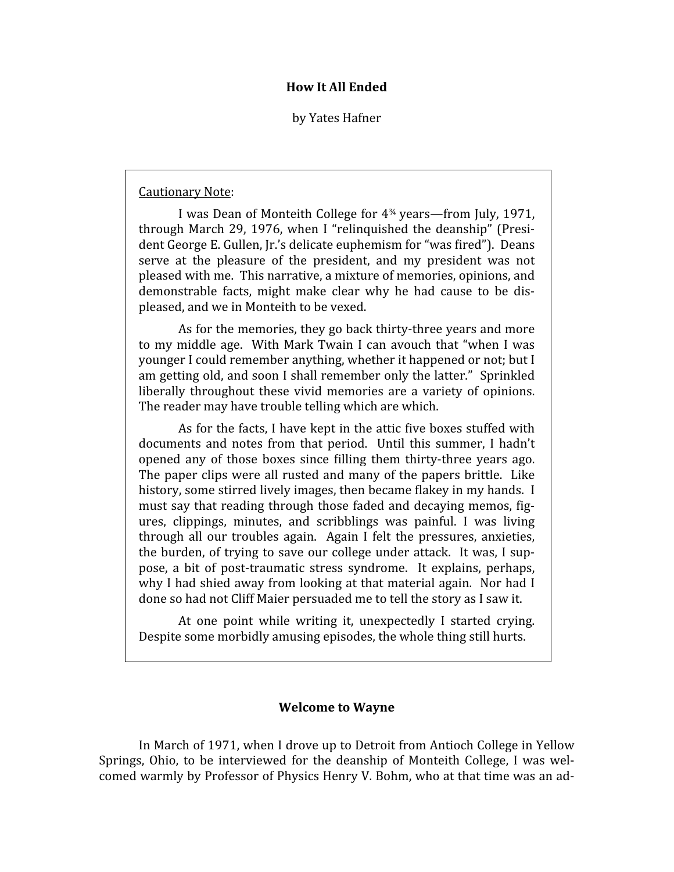## **How
It
All
Ended**

by
Yates
Hafner

## Cautionary
Note:

I was Dean of Monteith College for  $4<sup>34</sup>$  years—from July, 1971, through March 29, 1976, when I "relinguished the deanship" (President George E. Gullen, Jr.'s delicate euphemism for "was fired"). Deans serve at the pleasure of the president, and my president was not pleased
with
me.

This
narrative,
a
mixture
of
memories,
opinions,
and demonstrable facts, might make clear why he had cause to be displeased,
and
we
in
Monteith
to
be
vexed.

As for the memories, they go back thirty-three years and more to my middle age. With Mark Twain I can avouch that "when I was younger
I
could
remember
anything,
whether
it
happened
or
not;
but
I am
getting
old,
and
soon
I
shall
remember
only
the
latter."

Sprinkled liberally throughout these vivid memories are a variety of opinions. The
reader
may
have
trouble
telling
which
are
which.

As for the facts, I have kept in the attic five boxes stuffed with documents and notes from that period. Until this summer, I hadn't opened any of those boxes since filling them thirty-three years ago. The
paper
clips
were
all
rusted
and
many
of
 the
papers
brittle.

Like history, some stirred lively images, then became flakey in my hands. I must say that reading through those faded and decaying memos, figures, clippings, minutes,
 and
 scribblings
 was
 painful.
 I
 was
 living through all our troubles again. Again I felt the pressures, anxieties, the burden, of trying to save our college under attack. It was, I suppose,
 a
 bit
 of
 post‐traumatic
 stress
 syndrome.

 It
 explains,
 perhaps, why I had shied away from looking at that material again. Nor had I done so had not Cliff Maier persuaded me to tell the story as I saw it.

At one point while writing it, unexpectedly I started crying. Despite
some
morbidly
amusing
episodes,
the
whole
thing
still
hurts.

# **Welcome
to
Wayne**

In
March
of
1971,
when
I
drove
up
to
Detroit
from
Antioch
College
in
Yellow Springs, Ohio, to be interviewed for the deanship of Monteith College, I was welcomed
warmly
by
Professor
of
Physics
Henry
V.
Bohm,
who
at
that
time
was
an
ad‐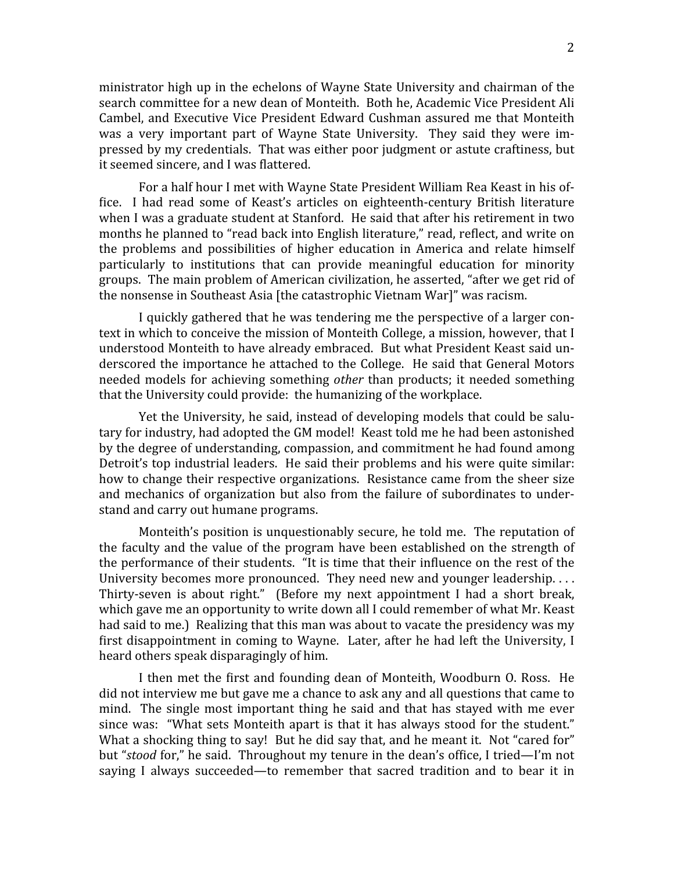ministrator
high
up
in
the
echelons
of
Wayne
State
University
and
chairman
of
the search committee for a new dean of Monteith. Both he, Academic Vice President Ali Cambel,
and
Executive
Vice
President
Edward
Cushman
assured
me
 that
Monteith was a very important part of Wayne State University. They said they were impressed
by
my
credentials.

That
was
either
poor
judgment
or
astute
craftiness,
but it
seemed
sincere,
and
I
was
Rlattered.

For a half hour I met with Wayne State President William Rea Keast in his office. I had read some of Keast's articles on eighteenth-century British literature when I was a graduate student at Stanford. He said that after his retirement in two months he planned to "read back into English literature," read, reflect, and write on the
 problems
 and
 possibilities
 of
 higher
 education
 in
 America
 and
 relate
 himself particularly to institutions that can provide meaningful education for minority groups.

The
main
problem
of
American
civilization,
he
asserted,
"after
we
get
rid
of the
nonsense
in
Southeast
Asia
[the
catastrophic
Vietnam
War]"
was
racism.

I quickly gathered that he was tendering me the perspective of a larger context in which to conceive the mission of Monteith College, a mission, however, that I understood Monteith to have already embraced. But what President Keast said underscored the importance he attached to the College. He said that General Motors needed models for achieving something *other* than products; it needed something that
the
University
could
provide:

the
humanizing
of
the
workplace.

Yet the University, he said, instead of developing models that could be salutary for industry, had adopted the GM model! Keast told me he had been astonished by
the
degree
of
understanding,
compassion,
and
commitment
he
had
found
among Detroit's top industrial leaders. He said their problems and his were quite similar: how to change their respective organizations. Resistance came from the sheer size and mechanics of organization but also from the failure of subordinates to understand
and
carry
out
humane
programs.

Monteith's position is unquestionably secure, he told me. The reputation of the faculty and the value of the program have been established on the strength of the performance of their students. "It is time that their influence on the rest of the University becomes more pronounced. They need new and younger leadership.... Thirty-seven is about right." (Before my next appointment I had a short break, which gave me an opportunity to write down all I could remember of what Mr. Keast had said to me.) Realizing that this man was about to vacate the presidency was my first disappointment in coming to Wayne. Later, after he had left the University, I heard
others
speak
disparagingly
of
him.

I then met the first and founding dean of Monteith, Woodburn O. Ross. He did
not
interview
me
but
gave
me
a
chance
to
ask
any
and
all
questions
that
came
to mind. The single most important thing he said and that has stayed with me ever since was: "What sets Monteith apart is that it has always stood for the student." What a shocking thing to say! But he did say that, and he meant it. Not "cared for" but "stood for," he said. Throughout my tenure in the dean's office, I tried—I'm not saying I always succeeded—to remember that sacred tradition and to bear it in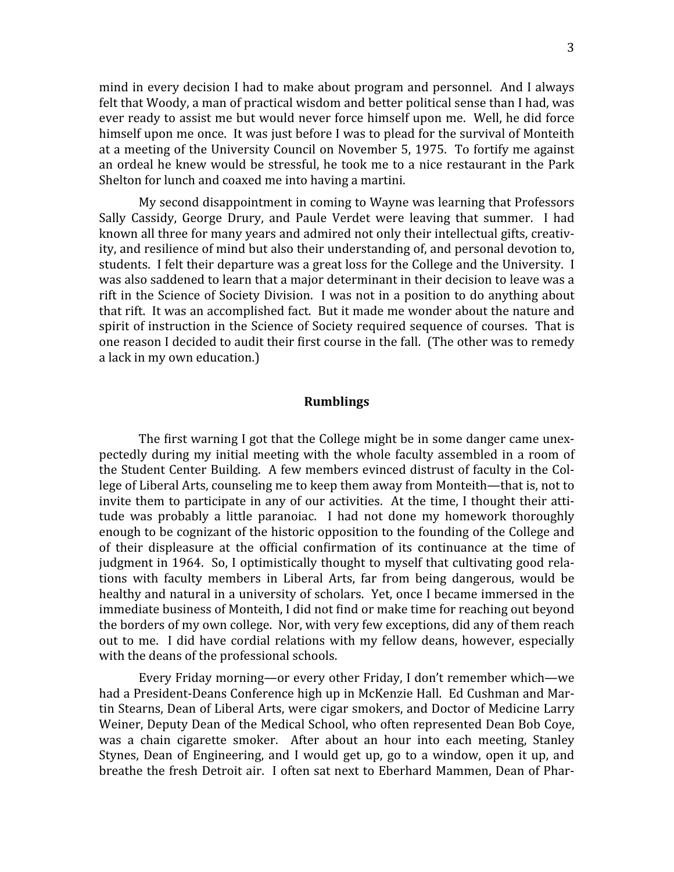mind in every decision I had to make about program and personnel. And I always felt that Woody, a man of practical wisdom and better political sense than I had, was ever
ready
to
assist
me
but
would
never
force
himself
upon
me.

Well,
he
did
force himself upon me once. It was just before I was to plead for the survival of Monteith at
a
meeting
of
the
University
Council
on
November
5,
1975.

To
fortify
me
against an
ordeal
he
knew
would
be
stressful,
he
 took
me
 to
a
nice
restaurant
in
 the
Park Shelton
for
lunch
and
coaxed
me
into
having
a
martini.

My
second
disappointment
in
coming
to
Wayne
was
learning
that
Professors Sally Cassidy, George Drury, and Paule Verdet were leaving that summer. I had known all three for many years and admired not only their intellectual gifts, creativity,
and
resilience
of
mind
but
also
their
understanding
of,
and
personal
devotion
to, students. I felt their departure was a great loss for the College and the University. I was also saddened to learn that a major determinant in their decision to leave was a rift in the Science of Society Division. I was not in a position to do anything about that rift. It was an accomplished fact. But it made me wonder about the nature and spirit of instruction in the Science of Society required sequence of courses. That is one reason I decided to audit their first course in the fall. (The other was to remedy a
lack
in
my
own
education.)

### **Rumblings**

The first warning I got that the College might be in some danger came unexpectedly
 during
my
initial
meeting
with
 the
whole
 faculty
assembled
in
a
 room
 of the
Student
Center
Building.

A
 few
members
evinced
distrust
of
 faculty
in
the
Col‐ lege
of
Liberal
Arts,
counseling
me
to
keep
them
away
from
Monteith—that
is,
not
to invite them to participate in any of our activities. At the time, I thought their attitude was probably a little paranoiac. I had not done my homework thoroughly enough to be cognizant of the historic opposition to the founding of the College and of their displeasure at the official confirmation of its continuance at the time of judgment in 1964. So, I optimistically thought to myself that cultivating good relations
 with
 faculty
 members
 in
 Liberal
 Arts,
 far
 from
 being
 dangerous,
 would
 be healthy and natural in a university of scholars. Yet, once I became immersed in the immediate
business
of
Monteith,
I
did
not
Rind
or
make
time
for
reaching
out
beyond the
borders
of
my
own
college.

Nor,
with
very
few
exceptions,
did
any
of
them
reach out to me. I did have cordial relations with my fellow deans, however, especially with the deans of the professional schools.

Every Friday morning—or every other Friday, I don't remember which—we had a President-Deans Conference high up in McKenzie Hall. Ed Cushman and Martin Stearns, Dean of Liberal Arts, were cigar smokers, and Doctor of Medicine Larry Weiner, Deputy Dean of the Medical School, who often represented Dean Bob Coye, was a chain cigarette smoker. After about an hour into each meeting, Stanley Stynes, Dean of Engineering, and I would get up, go to a window, open it up, and breathe the fresh Detroit air. I often sat next to Eberhard Mammen, Dean of Phar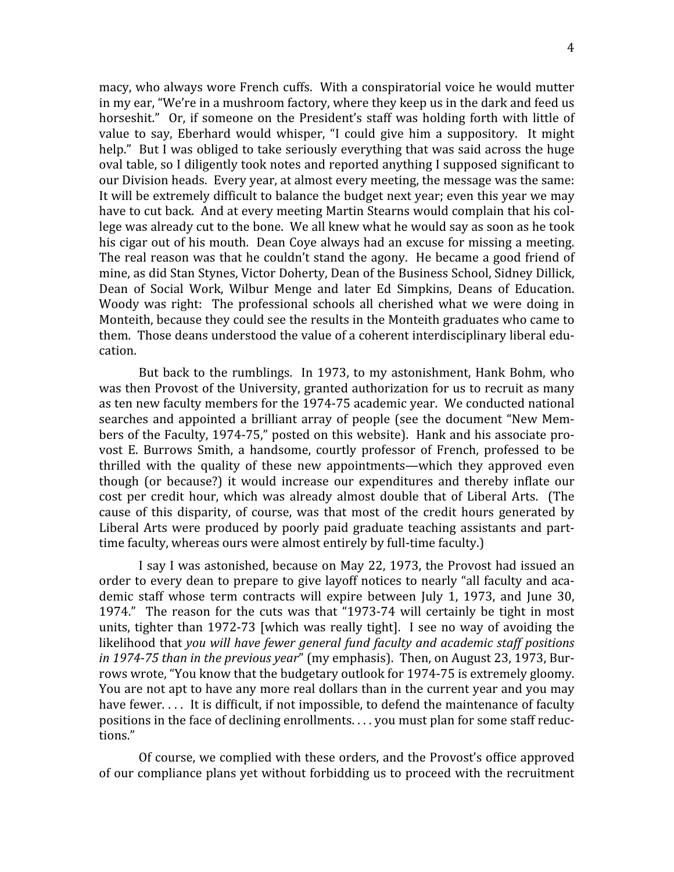macy,
who
always
wore
French
cuffs.

With
a
conspiratorial
voice
he
would
mutter in
my
ear,
"We're
in
a
mushroom
factory,
where
they
keep
us
in
the
dark
and
feed
us horseshit." Or, if someone on the President's staff was holding forth with little of value to say, Eberhard would whisper, "I could give him a suppository. It might help." But I was obliged to take seriously everything that was said across the huge oval table, so I diligently took notes and reported anything I supposed significant to our
Division
heads.

Every
year,
at
almost
every
meeting,
the
message
was
the
same: It will be extremely difficult to balance the budget next year; even this year we may have to cut back. And at every meeting Martin Stearns would complain that his college was already cut to the bone. We all knew what he would say as soon as he took his cigar out of his mouth. Dean Coye always had an excuse for missing a meeting. The real reason was that he couldn't stand the agony. He became a good friend of mine,
as
did
Stan
Stynes,
Victor
Doherty,
Dean
of
the
Business
School,
Sidney
Dillick, Dean
 of
 Social
 Work,
 Wilbur
 Menge
 and
 later
 Ed
 Simpkins,
 Deans
 of
 Education. Woody was right: The professional schools all cherished what we were doing in Monteith, because they could see the results in the Monteith graduates who came to them.

Those
deans
understood
the
value
of
a
coherent
interdisciplinary
liberal
edu‐ cation.

But back to the rumblings. In 1973, to my astonishment, Hank Bohm, who was then Provost of the University, granted authorization for us to recruit as many as
ten
new
faculty
members
for
the
1974‐75
academic
year.

We
conducted
national searches and appointed a brilliant array of people (see the document "New Members of the Faculty, 1974-75," posted on this website). Hank and his associate provost E. Burrows Smith, a handsome, courtly professor of French, professed to be thrilled with the quality of these new appointments—which they approved even though (or because?) it would increase our expenditures and thereby inflate our cost per credit hour, which was already almost double that of Liberal Arts. (The cause of this disparity, of course, was that most of the credit hours generated by Liberal Arts were produced by poorly paid graduate teaching assistants and parttime faculty, whereas ours were almost entirely by full-time faculty.)

I say I was astonished, because on May 22, 1973, the Provost had issued an order to every dean to prepare to give layoff notices to nearly "all faculty and academic staff whose term contracts will expire between July 1, 1973, and June 30, 1974." The reason for the cuts was that "1973-74 will certainly be tight in most units, tighter than 1972-73 [which was really tight]. I see no way of avoiding the likelihood
that *you
will
have
fewer
general
fund
faculty
and
academic
staff
positions*  in 1974-75 than in the previous year" (my emphasis). Then, on August 23, 1973, Burrows wrote, "You know that the budgetary outlook for 1974-75 is extremely gloomy. You are not apt to have any more real dollars than in the current year and you may have fewer.... It is difficult, if not impossible, to defend the maintenance of faculty positions in the face of declining enrollments.... you must plan for some staff reductions."

Of course, we complied with these orders, and the Provost's office approved of
our
compliance
plans
yet
without
forbidding
us
to
proceed
with
the
recruitment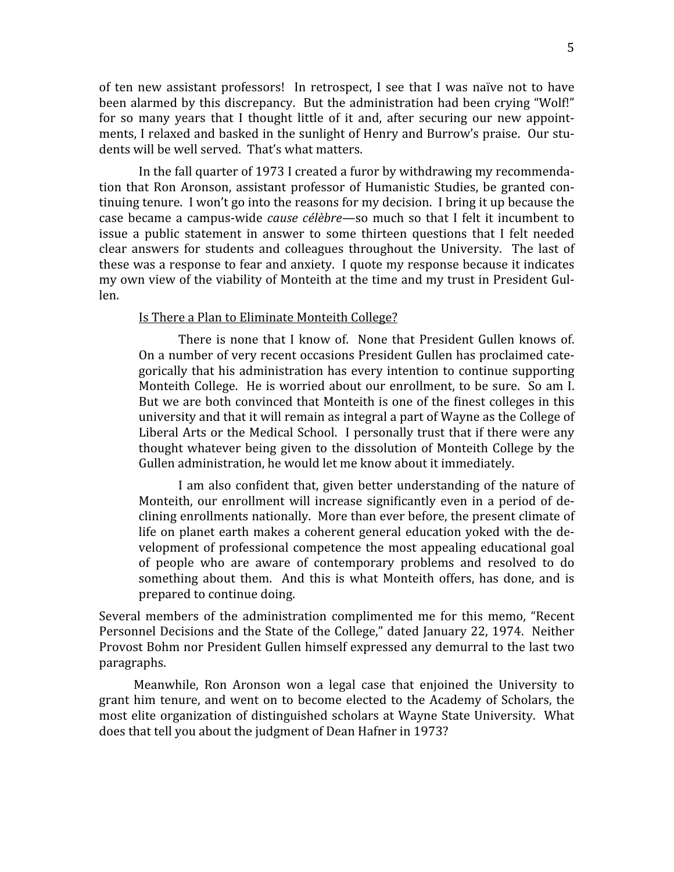of ten new assistant professors! In retrospect, I see that I was naïve not to have been alarmed by this discrepancy. But the administration had been crying "Wolf!" for so many vears that I thought little of it and, after securing our new appointments, I relaxed and basked in the sunlight of Henry and Burrow's praise. Our students
will
be
well
served.

That's
what
matters.

In
the
fall
quarter
of
1973
I
created
a
furor
by
withdrawing
my
recommenda‐ tion that Ron Aronson, assistant professor of Humanistic Studies, be granted continuing tenure. I won't go into the reasons for my decision. I bring it up because the case became a campus-wide *cause célèbre*—so much so that I felt it incumbent to issue a public statement in answer to some thirteen questions that I felt needed clear answers for students and colleagues throughout the University. The last of these was a response to fear and anxiety. I quote my response because it indicates my own view of the viability of Monteith at the time and my trust in President Gullen.

### Is
There
a
Plan
to
Eliminate
Monteith
College?

There is none that I know of. None that President Gullen knows of. On a number of very recent occasions President Gullen has proclaimed categorically
 that
his
administration
has
every
intention
 to
continue
supporting Monteith College. He is worried about our enrollment, to be sure. So am I. But we are both convinced that Monteith is one of the finest colleges in this university and that it will remain as integral a part of Wayne as the College of Liberal Arts or the Medical School. I personally trust that if there were any thought whatever being given to the dissolution of Monteith College by the Gullen
administration,
he
would
let
me
know
about
it
immediately.

I am also confident that, given better understanding of the nature of Monteith, our enrollment will increase significantly even in a period of declining
enrollments
nationally.

More
than
ever
before,
the
present
climate
of life on planet earth makes a coherent general education yoked with the development
 of
 professional
 competence
 the
most
appealing
educational
goal of
 people
 who
 are
 aware
 of
 contemporary
 problems
 and
 resolved
 to
 do something about them. And this is what Monteith offers, has done, and is prepared
to
continue
doing.

Several members of the administration complimented me for this memo, "Recent Personnel Decisions and the State of the College," dated January 22, 1974. Neither Provost
Bohm
nor
President
Gullen
himself
expressed
any
demurral
to
the
last
two paragraphs.

Meanwhile, Ron Aronson won a legal case that enjoined the University to grant him tenure, and went on to become elected to the Academy of Scholars, the most elite organization of distinguished scholars at Wayne State University. What does
that
tell
you
about
the
judgment
of
Dean
Hafner
in
1973?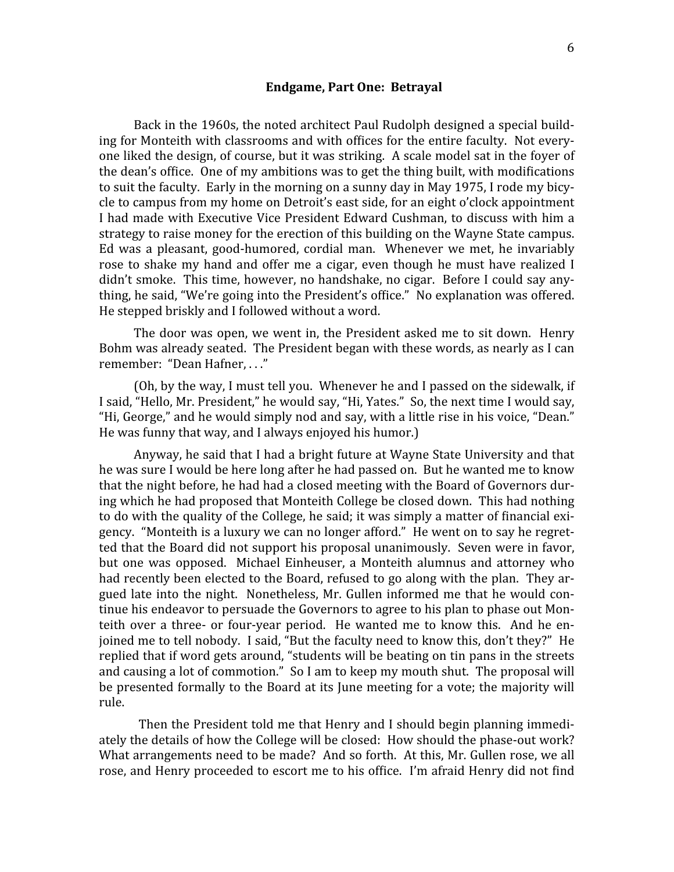### **Endgame,
Part
One:

Betrayal**

Back in the 1960s, the noted architect Paul Rudolph designed a special building for Monteith with classrooms and with offices for the entire faculty. Not everyone
liked
the
design,
of
course,
but
it
was
striking.

A
scale
model
sat
in
the
foyer
of the dean's office. One of my ambitions was to get the thing built, with modifications to suit the faculty. Early in the morning on a sunny day in May 1975, I rode my bicycle
to
campus
from
my
home
on
Detroit's
east
side,
for
an
eight
o'clock
appointment I had made with Executive Vice President Edward Cushman, to discuss with him a strategy to raise money for the erection of this building on the Wayne State campus. Ed was a pleasant, good-humored, cordial man. Whenever we met, he invariably rose to shake my hand and offer me a cigar, even though he must have realized I didn't smoke. This time, however, no handshake, no cigar. Before I could say anything, he said, "We're going into the President's office." No explanation was offered. He
stepped
briskly
and
I
followed
without
a
word.

The door was open, we went in, the President asked me to sit down. Henry Bohm was already seated. The President began with these words, as nearly as I can remember: "Dean Hafner, ..."

(Oh,
by
the
way,
I
must
tell
you.

Whenever
he
and
I
passed
on
the
sidewalk,
if I said, "Hello, Mr. President," he would say, "Hi, Yates." So, the next time I would say, "Hi, George," and he would simply nod and say, with a little rise in his voice, "Dean." He
was
funny
that
way,
and
I
always
enjoyed
his
humor.)

Anyway,
he
said
that
I
had
a
bright
future
at
Wayne
State
University
and
that he was sure I would be here long after he had passed on. But he wanted me to know that the night before, he had had a closed meeting with the Board of Governors during
which
he
had
proposed
that
Monteith
College
be
closed
down.

This
had
nothing to do with the quality of the College, he said; it was simply a matter of financial exigency.

"Monteith
is
a
luxury
we
can
no
longer
afford."

He
went
on
to
say
he
regret‐ ted that the Board did not support his proposal unanimously. Seven were in favor, but
 one
 was
 opposed.

 Michael
 Einheuser,
 a
 Monteith
 alumnus
 and
 attorney
 who had recently been elected to the Board, refused to go along with the plan. They argued late into the night. Nonetheless, Mr. Gullen informed me that he would continue his endeavor to persuade the Governors to agree to his plan to phase out Monteith over a three- or four-year period. He wanted me to know this. And he enjoined me to tell nobody. I said, "But the faculty need to know this, don't they?" He replied that if word gets around, "students will be beating on tin pans in the streets and causing a lot of commotion." So I am to keep my mouth shut. The proposal will be presented formally to the Board at its June meeting for a vote; the majority will rule.

Then the President told me that Henry and I should begin planning immediately
the
details
of
how
the
College
will
be
closed:

How
should
the
phase‐out
work? What arrangements need to be made? And so forth. At this, Mr. Gullen rose, we all rose, and Henry proceeded to escort me to his office. I'm afraid Henry did not find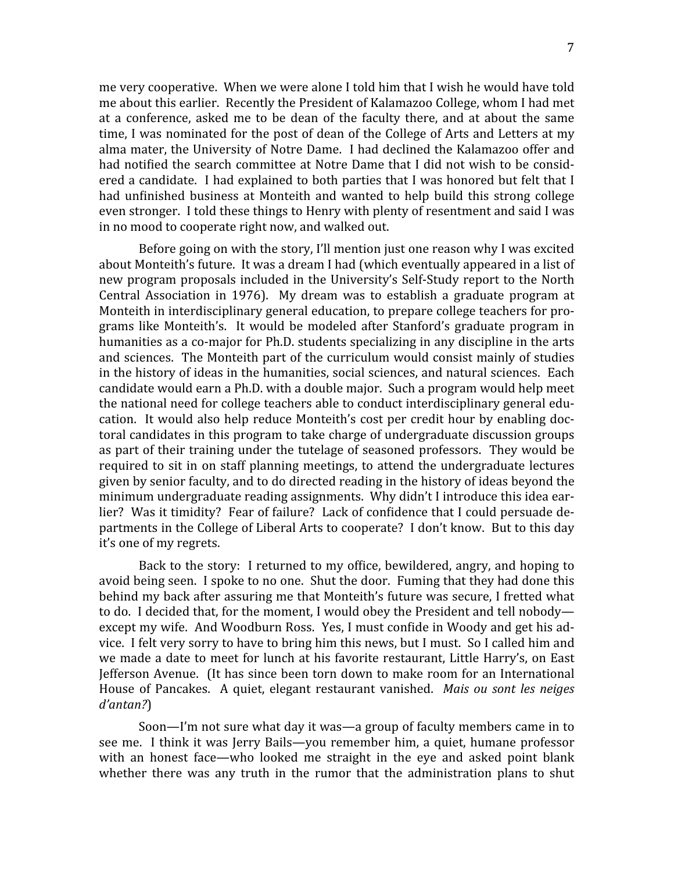me
very
cooperative.

When
we
were
alone
I
told
him
that
I
wish
he
would
have
told me
about
this
earlier.

Recently
the
President
of
Kalamazoo
College,
whom
I
had
met at a conference, asked me to be dean of the faculty there, and at about the same time, I was nominated for the post of dean of the College of Arts and Letters at my alma
mater,
the
University
of
Notre
Dame.

I
had
declined
the
Kalamazoo
offer
and had notified the search committee at Notre Dame that I did not wish to be considered a candidate. I had explained to both parties that I was honored but felt that I had unfinished business at Monteith and wanted to help build this strong college even stronger. I told these things to Henry with plenty of resentment and said I was in
no
mood
to
cooperate
right
now,
and
walked
out.

Before going on with the story, I'll mention just one reason why I was excited about Monteith's future. It was a dream I had (which eventually appeared in a list of new program proposals included in the University's Self-Study report to the North Central Association in 1976). My dream was to establish a graduate program at Monteith in interdisciplinary general education, to prepare college teachers for programs
like
Monteith's.

 It
would
 be
modeled
 after
 Stanford's
 graduate
 program
in humanities as a co-major for Ph.D. students specializing in any discipline in the arts and sciences. The Monteith part of the curriculum would consist mainly of studies in the history of ideas in the humanities, social sciences, and natural sciences. Each candidate
would
earn
a
Ph.D.
with
a
double
major.

Such
a
program
would
help
meet the
national
need
for
college
teachers
able
to
conduct
interdisciplinary
general
edu‐ cation.

 It
would
also
help
reduce
Monteith's
cost
per
credit
hour
by
enabling
doc‐ toral
candidates
in
this
program
to
take
charge
of
undergraduate
discussion
groups as part of their training under the tutelage of seasoned professors. They would be required to sit in on staff planning meetings, to attend the undergraduate lectures given
by
senior
faculty,
and
to
do
directed
reading
in
the
history
of
ideas
beyond
the minimum undergraduate reading assignments. Why didn't I introduce this idea earlier? Was it timidity? Fear of failure? Lack of confidence that I could persuade departments
in
the
College
of
Liberal
Arts
to
cooperate?

I
don't
know.

But
to
this
day it's
one
of
my
regrets.

Back to the story: I returned to my office, bewildered, angry, and hoping to avoid being seen. I spoke to no one. Shut the door. Fuming that they had done this behind my back after assuring me that Monteith's future was secure, I fretted what to do. I decided that, for the moment, I would obey the President and tell nobodyexcept my wife. And Woodburn Ross. Yes, I must confide in Woody and get his advice.

I
felt
very
sorry
to
have
to
bring
him
this
news,
but
I
must.

So
I
called
him
and we made a date to meet for lunch at his favorite restaurant, Little Harry's, on East Jefferson Avenue. (It has since been torn down to make room for an International House of Pancakes. A quiet, elegant restaurant vanished. Mais ou sont les neiges *d'antan?*)

Soon—I'm not sure what day it was—a group of faculty members came in to see me. I think it was Jerry Bails—you remember him, a quiet, humane professor with an honest face—who looked me straight in the eye and asked point blank whether there was any truth in the rumor that the administration plans to shut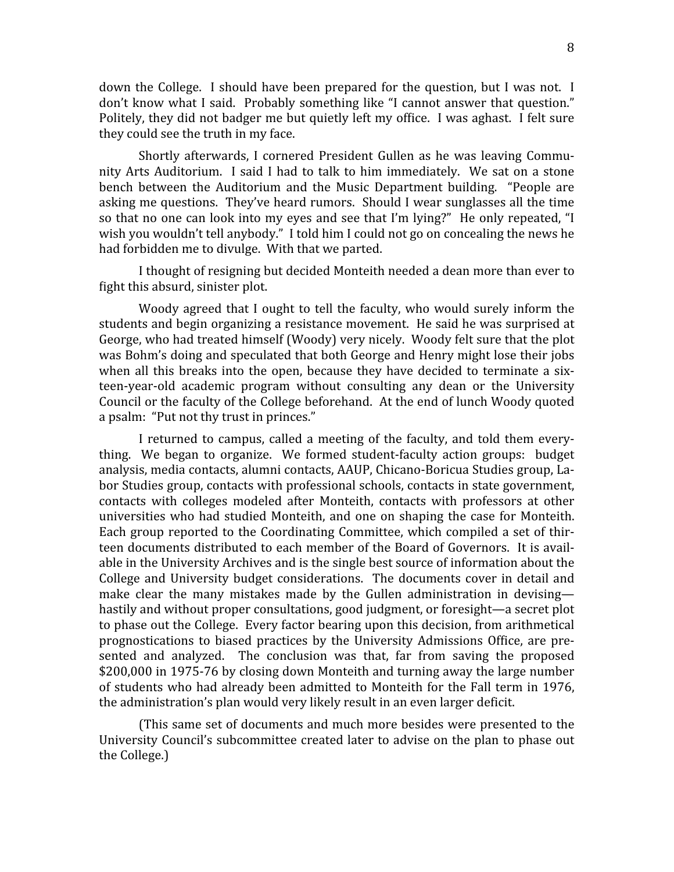down the College. I should have been prepared for the question, but I was not. I don't know what I said. Probably something like "I cannot answer that question." Politely, they did not badger me but quietly left my office. I was aghast. I felt sure they could see the truth in my face.

Shortly
 afterwards,
 I
 cornered
 President
 Gullen
 as
 he
 was
leaving
 Commu‐ nity Arts Auditorium. I said I had to talk to him immediately. We sat on a stone bench between the Auditorium and the Music Department building. "People are asking
me
questions.

They've
heard
rumors.

Should
I
wear
sunglasses
all
the
time so that no one can look into my eyes and see that I'm lying?" He only repeated, "I wish you wouldn't tell anybody." I told him I could not go on concealing the news he had
forbidden
me
to
divulge.

With
that
we
parted.

I thought of resigning but decided Monteith needed a dean more than ever to fight this absurd, sinister plot.

Woody agreed that I ought to tell the faculty, who would surely inform the students and begin organizing a resistance movement. He said he was surprised at George, who had treated himself (Woody) very nicely. Woody felt sure that the plot was Bohm's doing and speculated that both George and Henry might lose their jobs when all this breaks into the open, because they have decided to terminate a sixteen-year-old academic program without consulting any dean or the University Council or the faculty of the College beforehand. At the end of lunch Woody quoted a psalm: "Put not thy trust in princes."

I returned to campus, called a meeting of the faculty, and told them everything. We began to organize. We formed student-faculty action groups: budget analysis,
media
contacts,
alumni
contacts,
AAUP,
Chicano‐Boricua
Studies
group,
La‐ bor
Studies
group,
contacts
with
professional
schools,
contacts
in
state
government, contacts
 with
 colleges
 modeled
 after
 Monteith,
 contacts
 with
 professors
 at
 other universities
who
 had
 studied
Monteith,
and
 one
 on
 shaping
 the
 case
 for
Monteith. Each group reported to the Coordinating Committee, which compiled a set of thirteen documents distributed to each member of the Board of Governors. It is available in the University Archives and is the single best source of information about the College and University budget considerations. The documents cover in detail and make clear the many mistakes made by the Gullen administration in devisinghastily and without proper consultations, good judgment, or foresight—a secret plot to
phase
out
the
College.

Every
factor
bearing
upon
this
decision,
from
arithmetical prognostications to biased practices by the University Admissions Office, are presented and analyzed. The conclusion was that, far from saving the proposed \$200,000
in
1975‐76
by
closing
down
Monteith
and
turning
away
the
large
number of
students
who
had
already
been
admitted
 to
Monteith
 for
 the
Fall
 term
in
1976, the
administration's
plan
would
very
likely
result
in
an
even
larger
deficit.

(This
same
set
of
documents
and
much
more
besides
were
presented
to
the University Council's subcommittee created later to advise on the plan to phase out the
College.)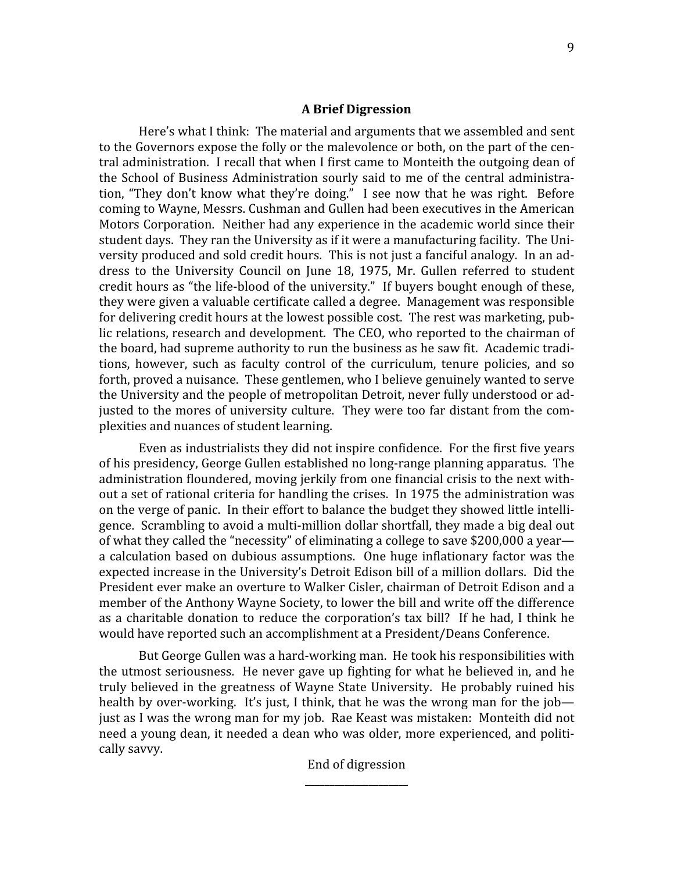#### **A
Brief
Digression**

Here's what I think: The material and arguments that we assembled and sent to the Governors expose the folly or the malevolence or both, on the part of the central
administration.

I
recall
that
when
I
Rirst
came
to
Monteith
the
outgoing
dean
of the School of Business Administration sourly said to me of the central administration, "They don't know what they're doing." I see now that he was right. Before coming
to
Wayne,
Messrs.
Cushman
and
Gullen
had
been
executives
in
the
American Motors Corporation. Neither had any experience in the academic world since their student days. They ran the University as if it were a manufacturing facility. The University produced and sold credit hours. This is not just a fanciful analogy. In an address to the University Council on June 18, 1975, Mr. Gullen referred to student credit
hours
as
"the
life‐blood
of
the
university."

If
buyers
bought
enough
of
these, they were given a valuable certificate called a degree. Management was responsible for delivering credit hours at the lowest possible cost. The rest was marketing, public relations, research and development. The CEO, who reported to the chairman of the board, had supreme authority to run the business as he saw fit. Academic traditions, however, such as faculty control of the curriculum, tenure policies, and so forth, proved a nuisance. These gentlemen, who I believe genuinely wanted to serve the University and the people of metropolitan Detroit, never fully understood or adjusted to the mores of university culture. They were too far distant from the complexities
and
nuances
of
student
learning.

Even as industrialists they did not inspire confidence. For the first five years of
his
presidency,
George
Gullen
established
no
long‐range
planning
apparatus.

The administration floundered, moving jerkily from one financial crisis to the next without a set of rational criteria for handling the crises. In 1975 the administration was on the verge of panic. In their effort to balance the budget they showed little intelligence. Scrambling to avoid a multi-million dollar shortfall, they made a big deal out of what they called the "necessity" of eliminating a college to save \$200,000 a yeara calculation based on dubious assumptions. One huge inflationary factor was the expected increase in the University's Detroit Edison bill of a million dollars. Did the President ever make an overture to Walker Cisler, chairman of Detroit Edison and a member
of
the
Anthony
Wayne
Society,
to
lower
the
bill
and
write
off
the
difference as a charitable donation to reduce the corporation's tax bill? If he had, I think he would
have
reported
such
an
accomplishment
at
a
President/Deans
Conference.

But George Gullen was a hard-working man. He took his responsibilities with the utmost seriousness. He never gave up fighting for what he believed in, and he truly believed in the greatness of Wayne State University. He probably ruined his health by over-working. It's just, I think, that he was the wrong man for the job just as I was the wrong man for my job. Rae Keast was mistaken: Monteith did not need a voung dean, it needed a dean who was older, more experienced, and politically
savvy.

# End
of
digression **\_\_\_\_\_\_\_\_\_\_\_\_\_\_\_\_\_\_\_\_\_**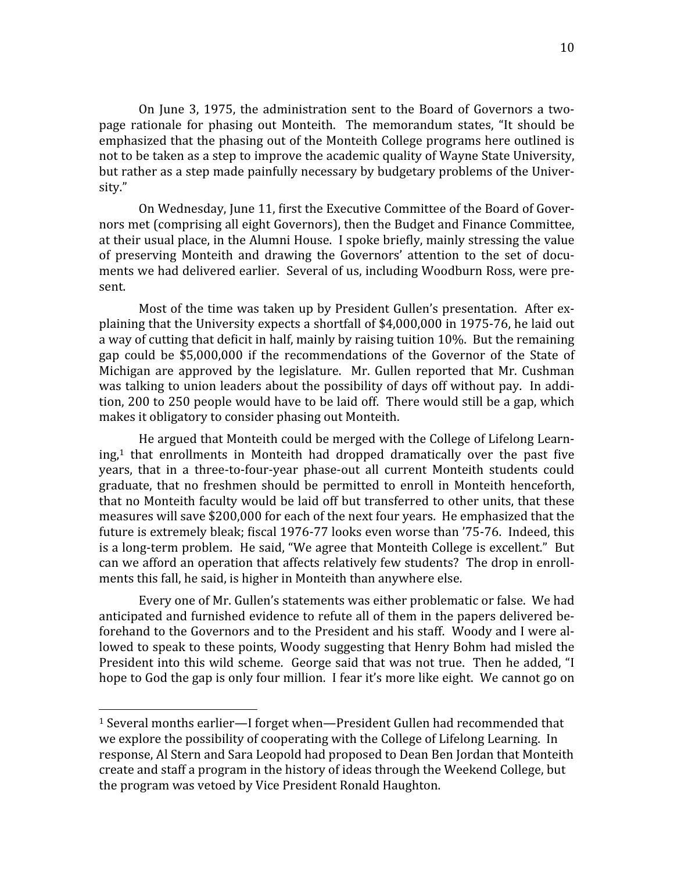On June 3, 1975, the administration sent to the Board of Governors a twopage rationale for phasing out Monteith. The memorandum states, "It should be emphasized that the phasing out of the Monteith College programs here outlined is not
to
be
taken
as
a
step
to
improve
the
academic
quality
of
Wayne
State
University, but rather as a step made painfully necessary by budgetary problems of the University."

On Wednesday, June 11, first the Executive Committee of the Board of Governors
met
(comprising
all
eight
Governors),
then
the
Budget
and
Finance
Committee, at their usual place, in the Alumni House. I spoke briefly, mainly stressing the value of preserving Monteith and drawing the Governors' attention to the set of documents
we
had
delivered
earlier.

Several
of
us,
including
Woodburn
Ross,
were
pre‐ sent.

Most of the time was taken up by President Gullen's presentation. After explaining
that
the
University
expects
a
shortfall
of
\$4,000,000
in
1975‐76,
he
laid
out a way of cutting that deficit in half, mainly by raising tuition 10%. But the remaining gap
 could
 be
 \$5,000,000
 if
 the
 recommendations
 of
 the
 Governor
 of
 the
 State
 of Michigan are approved by the legislature. Mr. Gullen reported that Mr. Cushman was talking to union leaders about the possibility of days off without pay. In addition, 200 to 250 people would have to be laid off. There would still be a gap, which makes
it
obligatory
to
consider
phasing
out
Monteith.

He
argued
that
Monteith
could
be
merged
with
the
College
of
Lifelong
Learn‐  $ing<sub>i</sub>$ <sup>1</sup> that enrollments in Monteith had dropped dramatically over the past five years, that in a three-to-four-year phase-out all current Monteith students could graduate, that no freshmen should be permitted to enroll in Monteith henceforth, that
no
Monteith
faculty
would
be
laid
off
but
transferred
to
other
units,
that
these measures
will
save
\$200,000
for
each
of
the
next
four
years.

He
emphasized
that
the future is extremely bleak; fiscal 1976-77 looks even worse than '75-76. Indeed, this is a long-term problem. He said, "We agree that Monteith College is excellent." But can we afford an operation that affects relatively few students? The drop in enrollments
this
fall,
he
said,
is
higher
in
Monteith
than
anywhere
else.

Every one of Mr. Gullen's statements was either problematic or false. We had anticipated
and
furnished
evidence
to
refute
all
of
them
in
the
papers
delivered
be‐ forehand to the Governors and to the President and his staff. Woody and I were allowed to speak to these points, Woody suggesting that Henry Bohm had misled the President into this wild scheme. George said that was not true. Then he added, "I hope to God the gap is only four million. I fear it's more like eight. We cannot go on

<sup>&</sup>lt;sup>1</sup> Several months earlier—I forget when—President Gullen had recommended that we explore the possibility of cooperating with the College of Lifelong Learning. In response,
Al
Stern
and
Sara
Leopold
had
proposed
to
Dean
Ben
Jordan
that
Monteith create
and
staff
a
program
in
the
history
of
ideas
through
the
Weekend
College,
but the
program
was
vetoed
by
Vice
President
Ronald
Haughton.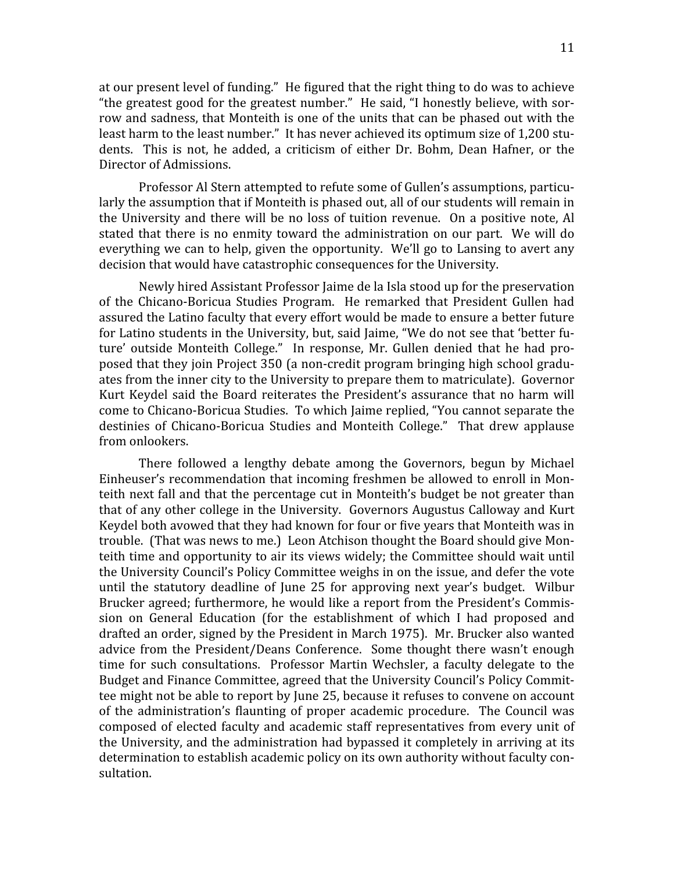at our present level of funding." He figured that the right thing to do was to achieve "the greatest good for the greatest number." He said, "I honestly believe, with sorrow and sadness, that Monteith is one of the units that can be phased out with the least harm to the least number." It has never achieved its optimum size of 1,200 students. This is not, he added, a criticism of either Dr. Bohm, Dean Hafner, or the Director
of
Admissions.

Professor Al Stern attempted to refute some of Gullen's assumptions, particularly the assumption that if Monteith is phased out, all of our students will remain in the University and there will be no loss of tuition revenue. On a positive note, Al stated that there is no enmity toward the administration on our part. We will do everything we can to help, given the opportunity. We'll go to Lansing to avert any decision
that
would
have
catastrophic
consequences
for
the
University.

Newly
hired
Assistant
Professor
Jaime
de
la
Isla
stood
up
for
the
preservation of the Chicano-Boricua Studies Program. He remarked that President Gullen had assured
the
Latino
faculty
that
every
effort
would
be
made
to
ensure
a
better
future for Latino students in the University, but, said Jaime, "We do not see that 'better future' outside Monteith College." In response, Mr. Gullen denied that he had proposed
that
they
join
Project
350
(a
non‐credit
program
bringing
high
school
gradu‐ ates from the inner city to the University to prepare them to matriculate). Governor Kurt Keydel said the Board reiterates the President's assurance that no harm will come
to
Chicano‐Boricua
Studies.

To
which
Jaime
replied,
"You
cannot
separate
the destinies of Chicano-Boricua Studies and Monteith College." That drew applause from
onlookers.

There
 followed
 a
 lengthy
 debate
 among
 the
 Governors,
 begun
 by
 Michael Einheuser's recommendation that incoming freshmen be allowed to enroll in Monteith next fall and that the percentage cut in Monteith's budget be not greater than that
of
any
other
college
in
the
University.

Governors
Augustus
Calloway
and
Kurt Keydel both avowed that they had known for four or five years that Monteith was in trouble.

(That
was
news
to
me.)

Leon
Atchison
thought
the
Board
should
give
Mon‐ teith time and opportunity to air its views widely; the Committee should wait until the
University
Council's
Policy
Committee
weighs
in
on
the
issue,
and
defer
the
vote until the statutory deadline of June 25 for approving next year's budget. Wilbur Brucker agreed; furthermore, he would like a report from the President's Commission on General Education (for the establishment of which I had proposed and drafted
an
order,
signed
by
the
President
in
March
1975).

Mr.
Brucker
also
wanted advice from the President/Deans Conference. Some thought there wasn't enough time
 for
 such
 consultations.

 Professor
 Martin
Wechsler,
 a
 faculty
 delegate
 to
 the Budget and Finance Committee, agreed that the University Council's Policy Committee might not be able to report by June 25, because it refuses to convene on account of the administration's flaunting of proper academic procedure. The Council was composed of elected faculty and academic staff representatives from every unit of the University, and the administration had bypassed it completely in arriving at its determination to establish academic policy on its own authority without faculty consultation.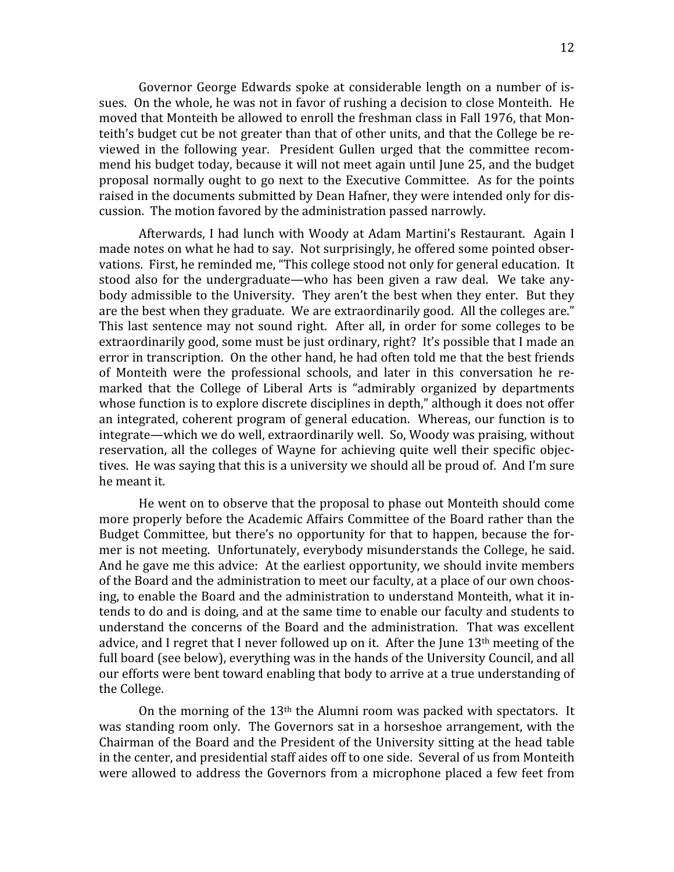Governor George Edwards spoke at considerable length on a number of issues. On the whole, he was not in favor of rushing a decision to close Monteith. He moved that Monteith be allowed to enroll the freshman class in Fall 1976, that Monteith's budget cut be not greater than that of other units, and that the College be reviewed
 in
 the
 following
 year.

 President
 Gullen
 urged
 that
 the
 committee
 recom‐ mend his budget today, because it will not meet again until June 25, and the budget proposal
normally
ought
 to
go
next
 to
 the
Executive
Committee.

As
 for
 the
points raised in the documents submitted by Dean Hafner, they were intended only for discussion.

The
motion
favored
by
the
administration
passed
narrowly.

Afterwards, I had lunch with Woody at Adam Martini's Restaurant. Again I made
notes
on
what
he
had
to
say.

Not
surprisingly,
he
offered
some
pointed
obser‐ vations. First, he reminded me, "This college stood not only for general education. It stood also for the undergraduate—who has been given a raw deal. We take anybody admissible to the University. They aren't the best when they enter. But they are the best when they graduate. We are extraordinarily good. All the colleges are." This last sentence may not sound right. After all, in order for some colleges to be extraordinarily good, some must be just ordinary, right? It's possible that I made an error in transcription. On the other hand, he had often told me that the best friends of Monteith were the professional schools, and later in this conversation he remarked that the College of Liberal Arts is "admirably organized by departments whose function is to explore discrete disciplines in depth," although it does not offer an
integrated,
coherent
program
of
general
education.

Whereas,
our
 function
is
 to integrate—which
we
do
well,
extraordinarily
well.

So,
Woody
was
praising,
without reservation, all the colleges of Wayne for achieving quite well their specific objectives. He was saying that this is a university we should all be proud of. And I'm sure he
meant
it.

He went on to observe that the proposal to phase out Monteith should come more properly before the Academic Affairs Committee of the Board rather than the Budget Committee, but there's no opportunity for that to happen, because the former is not meeting. Unfortunately, everybody misunderstands the College, he said. And he gave me this advice: At the earliest opportunity, we should invite members of the Board and the administration to meet our faculty, at a place of our own choosing, to enable the Board and the administration to understand Monteith, what it intends to do and is doing, and at the same time to enable our faculty and students to understand the concerns of the Board and the administration. That was excellent advice, and I regret that I never followed up on it. After the June  $13<sup>th</sup>$  meeting of the full board (see below), everything was in the hands of the University Council, and all our
efforts
were
bent
toward
enabling
that
body
to
arrive
at
a
true
understanding
of the
College.

On the morning of the 13<sup>th</sup> the Alumni room was packed with spectators. It was standing room only. The Governors sat in a horseshoe arrangement, with the Chairman
of
the
Board
and
the
President
of
the
University
sitting
at
the
head
table in
the
center,
and
presidential
staff
aides
off
to
one
side.

Several
of
us
from
Monteith were allowed to address the Governors from a microphone placed a few feet from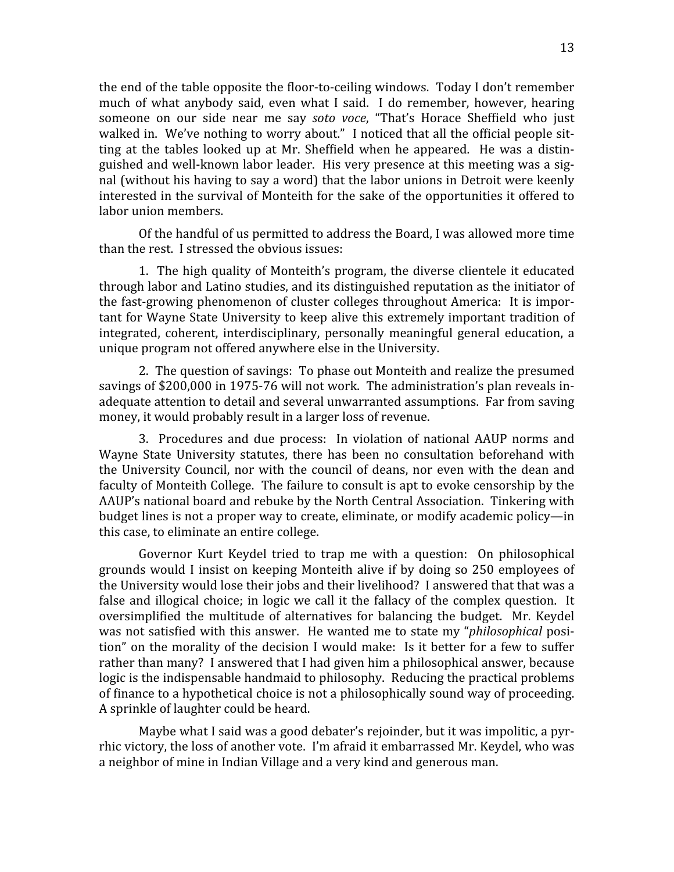the end of the table opposite the floor-to-ceiling windows. Today I don't remember much of what anybody said, even what I said. I do remember, however, hearing someone on our side near me say soto voce, "That's Horace Sheffield who just walked in. We've nothing to worry about." I noticed that all the official people sitting at the tables looked up at Mr. Sheffield when he appeared. He was a distinguished
and
well‐known
labor
leader.

His
very
presence
at
this
meeting
was
a
sig‐ nal
(without
his
having
to
say
a
word)
that
the
labor
unions
in
Detroit
were
keenly interested in the survival of Monteith for the sake of the opportunities it offered to labor
union
members.

Of
the
handful
of
us
permitted
to
address
the
Board,
I
was
allowed
more
time than
the
rest.

I
stressed
the
obvious
issues:

1.

The
high
quality
of
Monteith's
program,
 the
diverse
clientele
it
educated through labor and Latino studies, and its distinguished reputation as the initiator of the fast-growing phenomenon of cluster colleges throughout America: It is important for Wayne State University to keep alive this extremely important tradition of integrated, coherent, interdisciplinary, personally meaningful general education, a unique
program
not
offered
anywhere
else
in
the
University.

2.

The
question
of
savings:

To
phase
out
Monteith
and
realize
the
presumed savings of \$200,000 in 1975-76 will not work. The administration's plan reveals inadequate attention to detail and several unwarranted assumptions. Far from saving money,
it
would
probably
result
in
a
larger
loss
of
revenue.

3. Procedures and due process: In violation of national AAUP norms and Wayne State University statutes, there has been no consultation beforehand with the University Council, nor with the council of deans, nor even with the dean and faculty of Monteith College. The failure to consult is apt to evoke censorship by the AAUP's national board and rebuke by the North Central Association. Tinkering with budget
lines
is
not
a
proper
way
to
create,
eliminate,
or
modify
academic
policy—in this
case,
to
eliminate
an
entire
college.

Governor Kurt Keydel tried to trap me with a question: On philosophical grounds would I insist on keeping Monteith alive if by doing so 250 employees of the University would lose their jobs and their livelihood? I answered that that was a false and illogical choice; in logic we call it the fallacy of the complex question. It oversimplified the multitude of alternatives for balancing the budget. Mr. Keydel was not satisfied with this answer. He wanted me to state my "*philosophical* position" on the morality of the decision I would make: Is it better for a few to suffer rather than many? I answered that I had given him a philosophical answer, because logic is the indispensable handmaid to philosophy. Reducing the practical problems of finance to a hypothetical choice is not a philosophically sound way of proceeding. A
sprinkle
of
laughter
could
be
heard.

Maybe what I said was a good debater's rejoinder, but it was impolitic, a pyrrhic
victory,
the
loss
of
another
vote.

I'm
afraid
it
embarrassed
Mr.
Keydel,
who
was a neighbor of mine in Indian Village and a very kind and generous man.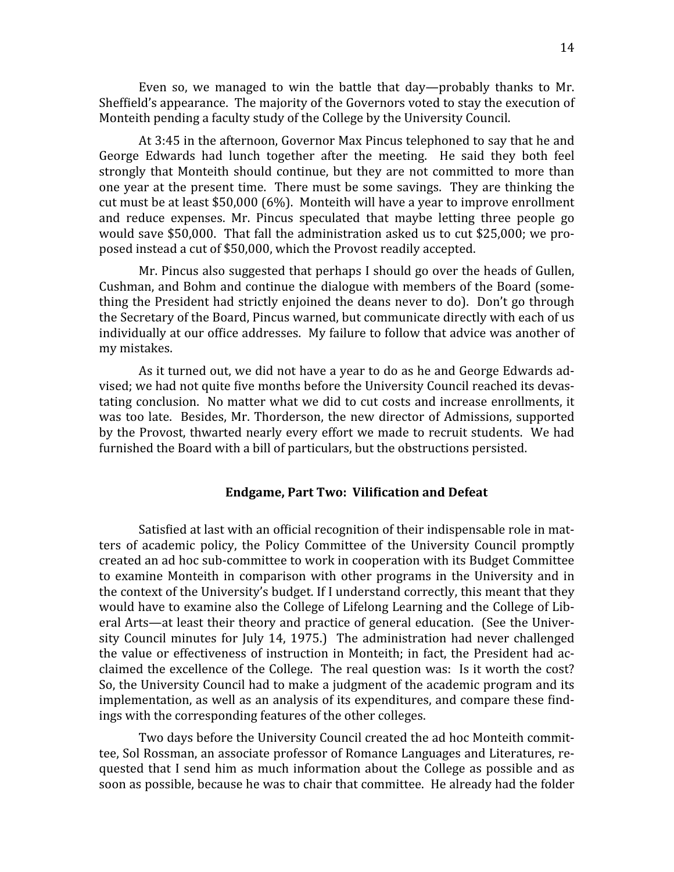Even so, we managed to win the battle that day—probably thanks to Mr. Sheffield's appearance. The majority of the Governors voted to stay the execution of Monteith pending a faculty study of the College by the University Council.

At
3:45
in
the
afternoon,
Governor
Max
Pincus
telephoned
to
say
that
he
and George Edwards had lunch together after the meeting. He said they both feel strongly that Monteith should continue, but they are not committed to more than one
year
at
 the
present
 time.

There
must
be
some
savings.

They
are
 thinking
 the cut
must
be
at
least
\$50,000
(6%).

Monteith
will
have
a
year
to
improve
enrollment and
 reduce
 expenses.
 Mr.
 Pincus
 speculated
 that
 maybe
 letting three
 people
 go would save \$50,000. That fall the administration asked us to cut \$25,000; we proposed
instead
a
cut
of
\$50,000,
which
the
Provost
readily
accepted.

Mr. Pincus also suggested that perhaps I should go over the heads of Gullen, Cushman, and Bohm and continue the dialogue with members of the Board (something the President had strictly enjoined the deans never to do). Don't go through the Secretary of the Board, Pincus warned, but communicate directly with each of us individually at our office addresses. My failure to follow that advice was another of my
mistakes.

As
it
turned
out,
we
did
not
have
a
year
to
do
as
he
and
George
Edwards
ad‐ vised; we had not quite five months before the University Council reached its devastating
conclusion.

No
matter
what
we
did
to
cut
costs
and
increase
enrollments,
it was too late. Besides, Mr. Thorderson, the new director of Admissions, supported by the Provost, thwarted nearly every effort we made to recruit students. We had furnished the Board with a bill of particulars, but the obstructions persisted.

## **Endgame, Part Two: Vilification and Defeat**

Satisfied at last with an official recognition of their indispensable role in matters
 of
 academic
 policy,
 the
 Policy
 Committee
 of
 the
 University
 Council
 promptly created
an
ad
hoc
sub‐committee
to
work
in
cooperation
with
its
Budget
Committee to examine Monteith in comparison with other programs in the University and in the context of the University's budget. If I understand correctly, this meant that they would have to examine also the College of Lifelong Learning and the College of Liberal Arts—at least their theory and practice of general education. (See the University Council minutes for July 14, 1975.) The administration had never challenged the value or effectiveness of instruction in Monteith; in fact, the President had acclaimed the excellence of the College. The real question was: Is it worth the cost? So, the University Council had to make a judgment of the academic program and its implementation, as well as an analysis of its expenditures, and compare these findings
with
the
corresponding
features
of
the
other
colleges.

Two days before the University Council created the ad hoc Monteith committee, Sol Rossman, an associate professor of Romance Languages and Literatures, requested that I send him as much information about the College as possible and as soon
as
possible,
because
he
was
to
chair
that
committee.

He
already
had
the
folder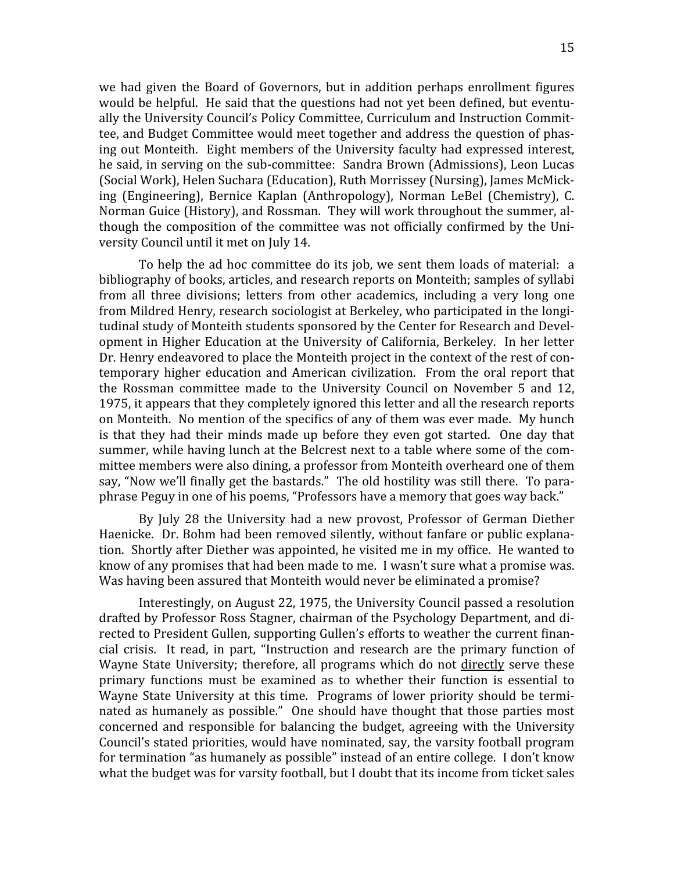we had given the Board of Governors, but in addition perhaps enrollment figures would be helpful. He said that the questions had not yet been defined, but eventually the University Council's Policy Committee, Curriculum and Instruction Committee,
and
Budget
Committee
would
meet
together
and
address
the
question
of
phas‐ ing
out
Monteith.

Eight
members
of
 the
University
 faculty
had
expressed
interest, he said, in serving on the sub-committee: Sandra Brown (Admissions), Leon Lucas (Social
Work),
Helen
Suchara
(Education),
Ruth
Morrissey
(Nursing),
James
McMick‐ ing
 (Engineering),
 Bernice
 Kaplan
 (Anthropology),
 Norman
 LeBel
 (Chemistry),
 C. Norman Guice (History), and Rossman. They will work throughout the summer, although the composition of the committee was not officially confirmed by the University
Council
until
it
met
on
July
14.

To help the ad hoc committee do its job, we sent them loads of material: a bibliography of books, articles, and research reports on Monteith; samples of syllabi from
 all
 three
 divisions;
 letters
 from
 other
 academics,
 including
 a
 very
 long
 one from Mildred Henry, research sociologist at Berkeley, who participated in the longitudinal study of Monteith students sponsored by the Center for Research and Development
in
Higher
Education
at
 the
University
of
California,
Berkeley.

 In
her
letter Dr. Henry endeavored to place the Monteith project in the context of the rest of contemporary higher education and American civilization. From the oral report that the Rossman committee made to the University Council on November 5 and 12, 1975,
it
appears
that
they
completely
ignored
this
letter
and
all
the
research
reports on Monteith. No mention of the specifics of any of them was ever made. My hunch is that they had their minds made up before they even got started. One day that summer, while having lunch at the Belcrest next to a table where some of the committee
members
were
also
dining,
a
professor
from
Monteith
overheard
one
of
them say, "Now we'll finally get the bastards." The old hostility was still there. To paraphrase Peguy in one of his poems, "Professors have a memory that goes way back."

By July 28 the University had a new provost, Professor of German Diether Haenicke. Dr. Bohm had been removed silently, without fanfare or public explanation. Shortly after Diether was appointed, he visited me in my office. He wanted to know of any promises that had been made to me. I wasn't sure what a promise was. Was having been assured that Monteith would never be eliminated a promise?

Interestingly,
on
August
22,
1975,
the
University
Council
passed
a
resolution drafted by Professor Ross Stagner, chairman of the Psychology Department, and directed to President Gullen, supporting Gullen's efforts to weather the current financial
 crisis.

 It
 read,
 in
 part,
 "Instruction
 and
 research
 are
 the
 primary
 function
 of Wayne State University; therefore, all programs which do not directly serve these primary functions must be examined as to whether their function is essential to Wayne State University at this time. Programs of lower priority should be terminated
as
humanely
as
possible."

One
should
have
 thought
 that
 those
parties
most concerned
 and
 responsible
 for
 balancing
 the
 budget,
 agreeing
 with
 the
 University Council's stated priorities, would have nominated, say, the varsity football program for termination "as humanely as possible" instead of an entire college. I don't know what the budget was for varsity football, but I doubt that its income from ticket sales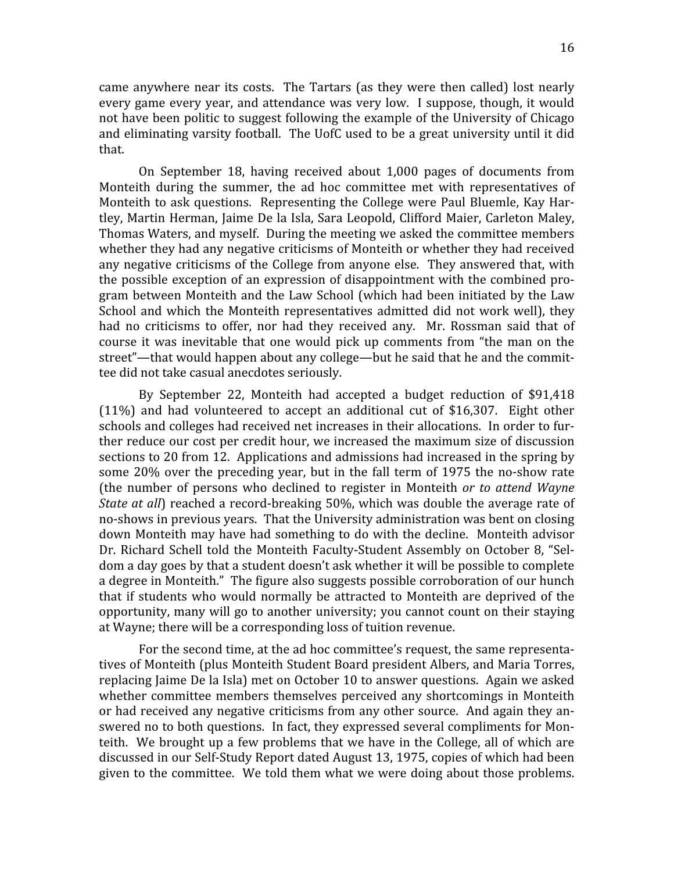came anywhere near its costs. The Tartars (as they were then called) lost nearly every game every year, and attendance was very low. I suppose, though, it would not
have
been
politic
to
suggest
 following
the
example
of
the
University
of
Chicago and eliminating varsity football. The UofC used to be a great university until it did that.

On
 September
 18,
 having
 received
 about
 1,000
 pages
 of
 documents
 from Monteith during the summer, the ad hoc committee met with representatives of Monteith to ask questions. Representing the College were Paul Bluemle, Kay Hartley, Martin Herman, Jaime De la Isla, Sara Leopold, Clifford Maier, Carleton Maley, Thomas
Waters,
and
myself.

During
the
meeting
we
asked
the
committee
members whether they had any negative criticisms of Monteith or whether they had received any negative criticisms of the College from anyone else. They answered that, with the
possible
exception
of
an
expression
of
disappointment
with
 the
combined
pro‐ gram
between
Monteith
and
 the
Law
School
 (which
had
been
initiated
by
 the
Law School and which the Monteith representatives admitted did not work well), they had no criticisms to offer, nor had they received any. Mr. Rossman said that of course
 it
 was
 inevitable
 that
 one
 would
 pick
 up
 comments
 from
 "the
 man
 on
 the street"—that would happen about any college—but he said that he and the committee
did
not
take
casual
anecdotes
seriously.

By
 September
 22,
 Monteith
 had
 accepted
 a
 budget
 reduction
 of
 \$91,418 (11%)
 and
 had
 volunteered
 to
 accept
 an
 additional
 cut
 of
 \$16,307.

 Eight
 other schools and colleges had received net increases in their allocations. In order to further
reduce
our
cost
per
credit
hour,
we
increased
the
maximum
size
of
discussion sections to 20 from 12. Applications and admissions had increased in the spring by some 20% over the preceding year, but in the fall term of 1975 the no-show rate (the
 number
 of
 persons
 who
 declined
 to
 register
 in
 Monteith *or
 to
 attend
Wayne*  State at all) reached a record-breaking 50%, which was double the average rate of no-shows in previous years. That the University administration was bent on closing down
Monteith
may
have
had
something
 to
do
with
 the
decline.

Monteith
advisor Dr. Richard Schell told the Monteith Faculty-Student Assembly on October 8, "Seldom
a
day
goes
by
that
a
student
doesn't
ask
whether
it
will
be
possible
to
complete a degree in Monteith." The figure also suggests possible corroboration of our hunch that if students who would normally be attracted to Monteith are deprived of the opportunity, many will go to another university; you cannot count on their staying at
Wayne;
there
will
be
a
corresponding
loss
of
tuition
revenue.

For the second time, at the ad hoc committee's request, the same representatives
of
Monteith
(plus
Monteith
Student
Board
president
Albers,
and
Maria
Torres, replacing Jaime De la Isla) met on October 10 to answer questions. Again we asked whether committee members themselves perceived any shortcomings in Monteith or had received any negative criticisms from any other source. And again they answered no to both questions. In fact, they expressed several compliments for Monteith. We brought up a few problems that we have in the College, all of which are discussed
in
our
Self‐Study
Report
dated
August
13,
1975,
copies
of
which
had
been given
 to
 the
committee.

We
 told
 them
what
we
were
doing
about
 those
problems.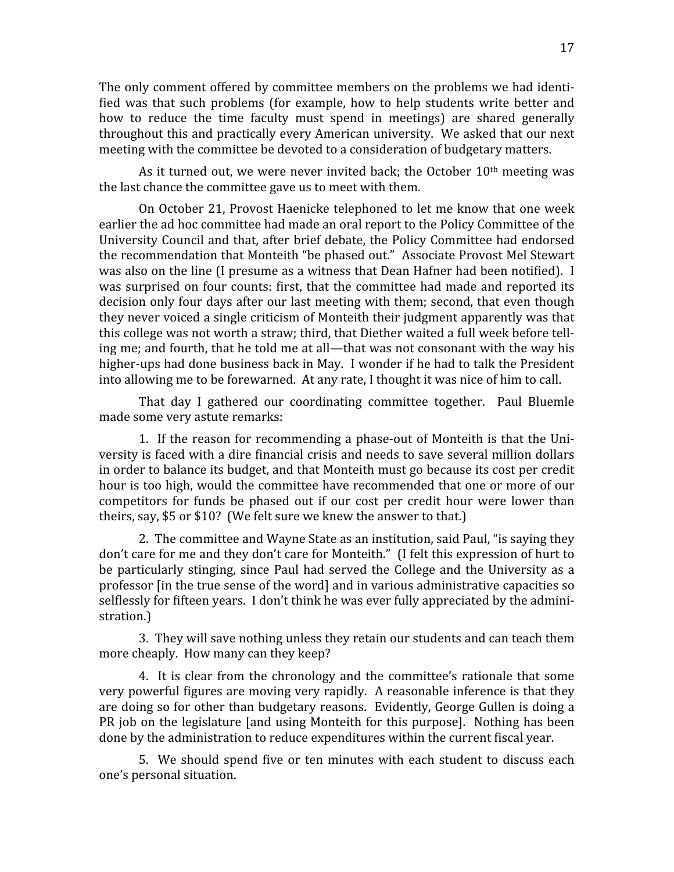The only comment offered by committee members on the problems we had identified was that such problems (for example, how to help students write better and how to reduce the time faculty must spend in meetings) are shared generally throughout this and practically every American university. We asked that our next meeting
with
the
committee
be
devoted
to
a
consideration
of
budgetary
matters.

As it turned out, we were never invited back; the October  $10<sup>th</sup>$  meeting was the
last
chance
the
committee
gave
us
to
meet
with
them.

On
October
21,
Provost
Haenicke
 telephoned
 to
let
me
know
 that
one
week earlier the ad hoc committee had made an oral report to the Policy Committee of the University Council and that, after brief debate, the Policy Committee had endorsed the
recommendation
that
Monteith
"be
phased
out."

Associate
Provost
Mel
Stewart was also on the line (I presume as a witness that Dean Hafner had been notified). I was surprised on four counts: first, that the committee had made and reported its decision
only
 four
days
after
our
last
meeting
with
them;
second,
that
even
though they
never
voiced
a
single
criticism
of
Monteith
their
judgment
apparently
was
that this college was not worth a straw; third, that Diether waited a full week before telling me; and fourth, that he told me at all—that was not consonant with the way his higher-ups had done business back in May. I wonder if he had to talk the President into
allowing
me
to
be
forewarned.

At
any
rate,
I
thought
it
was
nice
of
him
to
call.

That day I gathered our coordinating committee together. Paul Bluemle made
some
very
astute
remarks:

1. If the reason for recommending a phase-out of Monteith is that the University is faced with a dire financial crisis and needs to save several million dollars in
order
to
balance
its
budget,
and
that
Monteith
must
go
because
its
cost
per
credit hour is too high, would the committee have recommended that one or more of our competitors for funds be phased out if our cost per credit hour were lower than theirs, say, \$5 or \$10? (We felt sure we knew the answer to that.)

2. The committee and Wayne State as an institution, said Paul, "is saying they don't care for me and they don't care for Monteith." (I felt this expression of hurt to be particularly stinging, since Paul had served the College and the University as a professor [in the true sense of the word] and in various administrative capacities so selflessly for fifteen years. I don't think he was ever fully appreciated by the administration.)

3.

They
will
save
nothing
unless
they
retain
our
students
and
can
teach
them more
cheaply.

How
many
can
they
keep?

4. It is clear from the chronology and the committee's rationale that some very powerful figures are moving very rapidly. A reasonable inference is that they are
doing
so
 for
other
than
budgetary
reasons.

Evidently,
George
Gullen
is
doing
a PR job on the legislature [and using Monteith for this purpose]. Nothing has been done
by
the
administration
to
reduce
expenditures
within
the
current
Riscal
year.

5. We should spend five or ten minutes with each student to discuss each one's
personal
situation.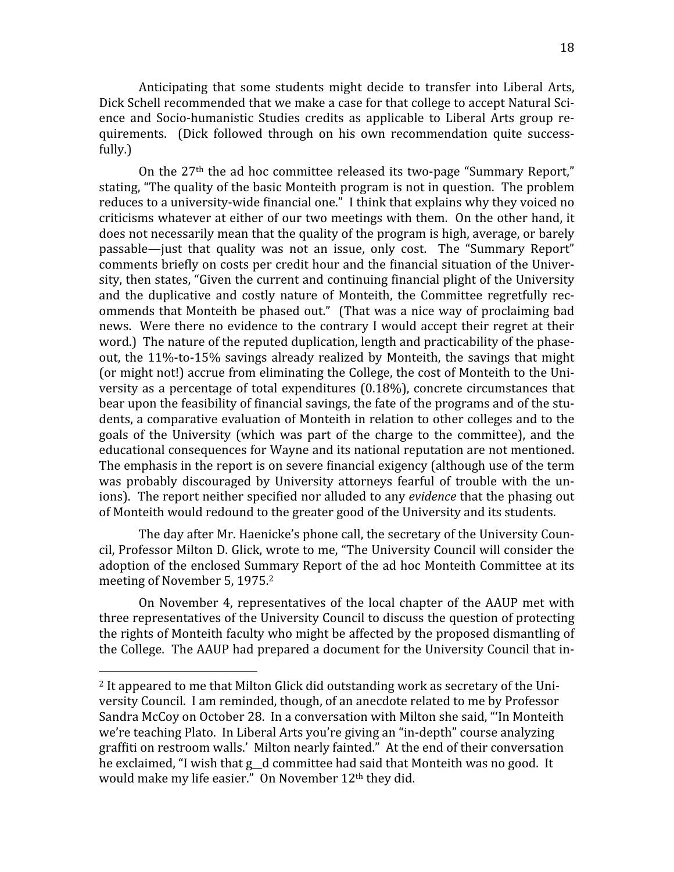Anticipating that some students might decide to transfer into Liberal Arts, Dick Schell recommended that we make a case for that college to accept Natural Science and Socio-humanistic Studies credits as applicable to Liberal Arts group requirements.

 (Dick
 followed
 through
 on
 his
 own
 recommendation
 quite
 success‐ fully.)

On the 27<sup>th</sup> the ad hoc committee released its two-page "Summary Report." stating, "The quality of the basic Monteith program is not in question. The problem reduces to a university-wide financial one." I think that explains why they voiced no criticisms whatever at either of our two meetings with them. On the other hand, it does not necessarily mean that the quality of the program is high, average, or barely passable—just that quality was not an issue, only cost. The "Summary Report" comments briefly on costs per credit hour and the financial situation of the University, then states, "Given the current and continuing financial plight of the University and the duplicative and costly nature of Monteith, the Committee regretfully recommends
 that
Monteith
be
phased
out."

 (That
was
a
nice
way
of
proclaiming
bad news. Were there no evidence to the contrary I would accept their regret at their word.) The nature of the reputed duplication, length and practicability of the phaseout, the 11%-to-15% savings already realized by Monteith, the savings that might (or might not!) accrue from eliminating the College, the cost of Monteith to the University as a percentage of total expenditures (0.18%), concrete circumstances that bear upon the feasibility of financial savings, the fate of the programs and of the students, a comparative evaluation of Monteith in relation to other colleges and to the goals
 of
 the
 University
 (which
 was
 part
 of
 the
 charge
 to
 the
 committee),
 and
 the educational consequences for Wayne and its national reputation are not mentioned. The emphasis in the report is on severe financial exigency (although use of the term was probably discouraged by University attorneys fearful of trouble with the unions). The report neither specified nor alluded to any *evidence* that the phasing out of
Monteith
would
redound
to
the
greater
good
of
the
University
and
its
students.

The day after Mr. Haenicke's phone call, the secretary of the University Council,
Professor
Milton
D.
Glick,
wrote
to
me,
"The
University
Council
will
consider
the adoption of the enclosed Summary Report of the ad hoc Monteith Committee at its meeting
of
November
5,
1975.2

On November 4, representatives of the local chapter of the AAUP met with three
representatives
of
the
University
Council
to
discuss
the
question
of
protecting the
rights
of
Monteith
faculty
who
might
be
affected
by
the
proposed
dismantling
of the College. The AAUP had prepared a document for the University Council that in-

<sup>&</sup>lt;sup>2</sup> It appeared to me that Milton Glick did outstanding work as secretary of the University
Council.

I
am
reminded,
though,
of
an
anecdote
related
to
me
by
Professor Sandra
McCoy
on
October
28.

In
a
conversation
with
Milton
she
said,
"'In
Monteith we're teaching Plato. In Liberal Arts you're giving an "in-depth" course analyzing graffiti on restroom walls.' Milton nearly fainted." At the end of their conversation he exclaimed, "I wish that g\_d committee had said that Monteith was no good. It would make my life easier." On November 12<sup>th</sup> they did.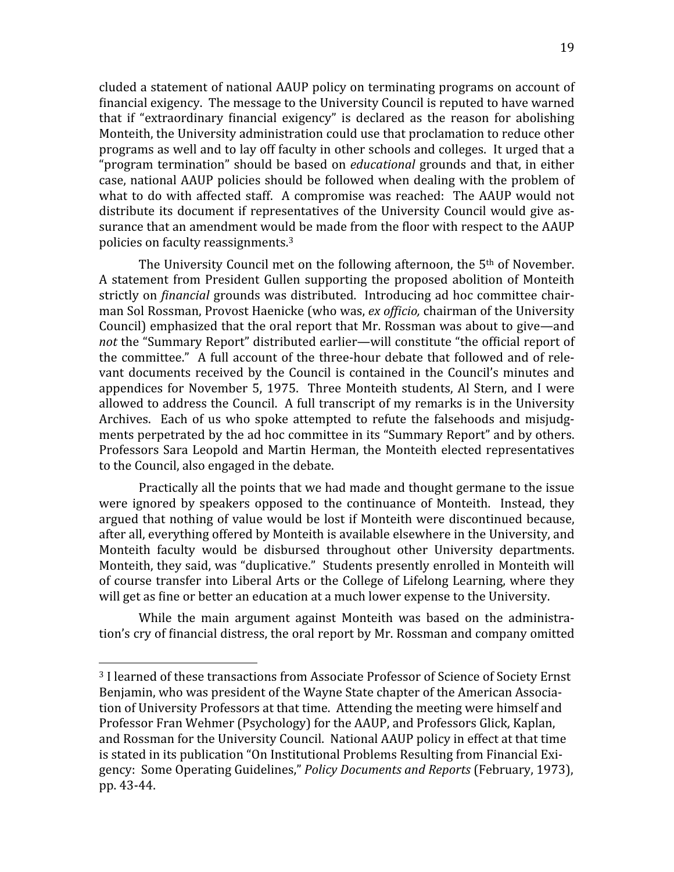cluded
a
statement
of
national
AAUP
policy
on
terminating
programs
on
account
of financial exigency. The message to the University Council is reputed to have warned that if "extraordinary financial exigency" is declared as the reason for abolishing Monteith, the University administration could use that proclamation to reduce other programs
as
well
and
to
lay
off
faculty
in
other
schools
and
colleges.

It
urged
that
a "program termination" should be based on *educational* grounds and that, in either case,
national
AAUP
policies
should
be
 followed
when
dealing
with
 the
problem
of what to do with affected staff. A compromise was reached: The AAUP would not distribute its document if representatives of the University Council would give assurance that an amendment would be made from the floor with respect to the AAUP policies
on
faculty
reassignments.3

The University Council met on the following afternoon, the 5<sup>th</sup> of November. A statement from President Gullen supporting the proposed abolition of Monteith strictly on *financial* grounds was distributed. Introducing ad hoc committee chairman Sol Rossman, Provost Haenicke (who was, ex officio, chairman of the University Council) emphasized that the oral report that Mr. Rossman was about to give—and not the "Summary Report" distributed earlier—will constitute "the official report of the committee." A full account of the three-hour debate that followed and of relevant documents received by the Council is contained in the Council's minutes and appendices
 for
November
 5,
 1975.

 Three
Monteith
 students,
Al
Stern,
 and
 I
were allowed
to
address
the
Council.

A
full
transcript
of
my
remarks
is
in
the
University Archives. Each of us who spoke attempted to refute the falsehoods and misjudgments perpetrated by the ad hoc committee in its "Summary Report" and by others. Professors
Sara
Leopold
and
Martin
Herman,
 the
Monteith
elected
representatives to
the
Council,
also
engaged
in
the
debate.

Practically
all
the
points
that
we
had
made
and
thought
germane
to
the
issue were ignored by speakers opposed to the continuance of Monteith. Instead, they argued
 that
nothing
of
value
would
be
lost
if
Monteith
were
discontinued
because, after
all,
everything
offered
by
Monteith
is
available
elsewhere
in
the
University,
and Monteith
 faculty
 would
 be
 disbursed
 throughout
 other
 University
 departments. Monteith, they said, was "duplicative." Students presently enrolled in Monteith will of
course
 transfer
into
Liberal
Arts
or
 the
College
of
Lifelong
Learning,
where
 they will get as fine or better an education at a much lower expense to the University.

While the main argument against Monteith was based on the administration's cry of financial distress, the oral report by Mr. Rossman and company omitted

<sup>&</sup>lt;sup>3</sup> I learned of these transactions from Associate Professor of Science of Society Ernst Benjamin, who was president of the Wayne State chapter of the American Association
of
University
Professors
at
that
time.

Attending
the
meeting
were
himself
and Professor
Fran
Wehmer
(Psychology)
for
the
AAUP,
and
Professors
Glick,
Kaplan, and
Rossman
for
the
University
Council.

National
AAUP
policy
in
effect
at
that
time is stated in its publication "On Institutional Problems Resulting from Financial Exigency:

Some
Operating
Guidelines," *Policy
Documents
and
Reports*(February,
1973), pp.
43‐44.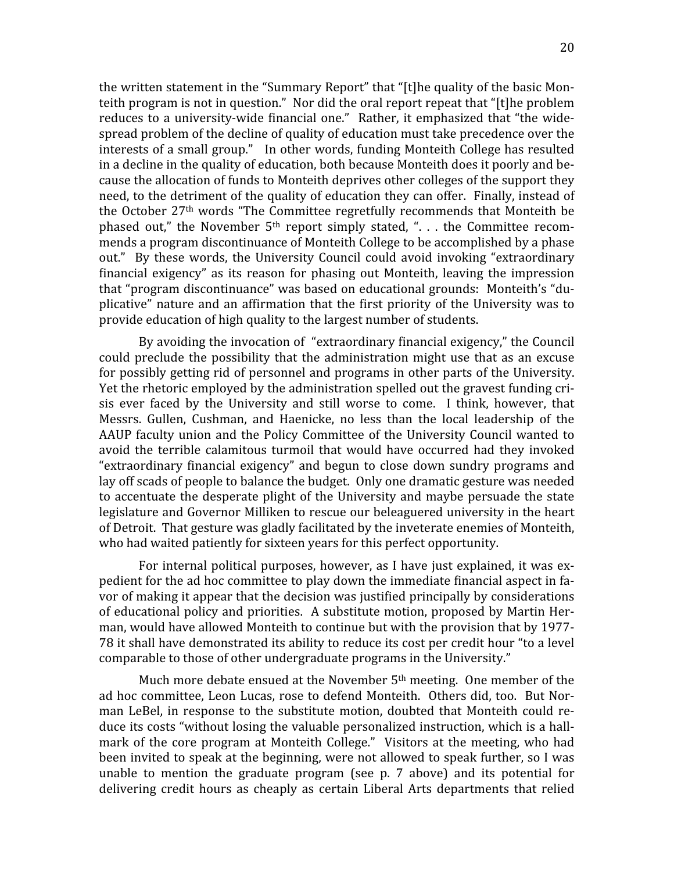the written statement in the "Summary Report" that "[t]he quality of the basic Monteith program is not in question." Nor did the oral report repeat that "[t]he problem reduces to a university-wide financial one." Rather, it emphasized that "the widespread problem of the decline of quality of education must take precedence over the interests
of
a
small
group."

In
other
words,
funding
Monteith
College
has
resulted in a decline in the quality of education, both because Monteith does it poorly and because
the
allocation
of
funds
to
Monteith
deprives
other
colleges
of
the
support
they need, to the detriment of the quality of education they can offer. Finally, instead of the October 27<sup>th</sup> words "The Committee regretfully recommends that Monteith be phased out," the November 5<sup>th</sup> report simply stated, ". . . the Committee recommends
a
program
discontinuance
of
Monteith
College
to
be
accomplished
by
a
phase out." By these words, the University Council could avoid invoking "extraordinary financial exigency" as its reason for phasing out Monteith, leaving the impression that
"program
discontinuance"
was
based
on
educational
grounds:

Monteith's
"du‐ plicative" nature and an affirmation that the first priority of the University was to provide
education
of
high
quality
to
the
largest
number
of
students.

By avoiding the invocation of "extraordinary financial exigency," the Council could preclude the possibility that the administration might use that as an excuse for
possibly
getting
rid
of
personnel
and
programs
in
other
parts
of
the
University. Yet the rhetoric employed by the administration spelled out the gravest funding crisis ever faced by the University and still worse to come. I think, however, that Messrs. Gullen, Cushman, and Haenicke, no less than the local leadership of the AAUP faculty union and the Policy Committee of the University Council wanted to avoid the terrible calamitous turmoil that would have occurred had they invoked "extraordinary financial exigency" and begun to close down sundry programs and lay off scads of people to balance the budget. Only one dramatic gesture was needed to accentuate the desperate plight of the University and maybe persuade the state legislature and Governor Milliken to rescue our beleaguered university in the heart of
Detroit.

That
gesture
was
gladly
facilitated
by
the
inveterate
enemies
of
Monteith, who had waited patiently for sixteen years for this perfect opportunity.

For
internal
political
purposes,
however,
as
I
have
just
explained,
it
was
ex‐ pedient for the ad hoc committee to play down the immediate financial aspect in favor of making it appear that the decision was justified principally by considerations of educational policy and priorities. A substitute motion, proposed by Martin Herman,
would
have
allowed
Monteith
to
continue
but
with
the
provision
that
by
1977‐ 78 it shall have demonstrated its ability to reduce its cost per credit hour "to a level comparable to those of other undergraduate programs in the University."

Much more debate ensued at the November 5<sup>th</sup> meeting. One member of the ad hoc committee, Leon Lucas, rose to defend Monteith. Others did, too. But Norman LeBel, in response to the substitute motion, doubted that Monteith could reduce its costs "without losing the valuable personalized instruction, which is a hallmark of the core program at Monteith College." Visitors at the meeting, who had been invited to speak at the beginning, were not allowed to speak further, so I was unable to mention the graduate program (see p. 7 above) and its potential for delivering credit hours as cheaply as certain Liberal Arts departments that relied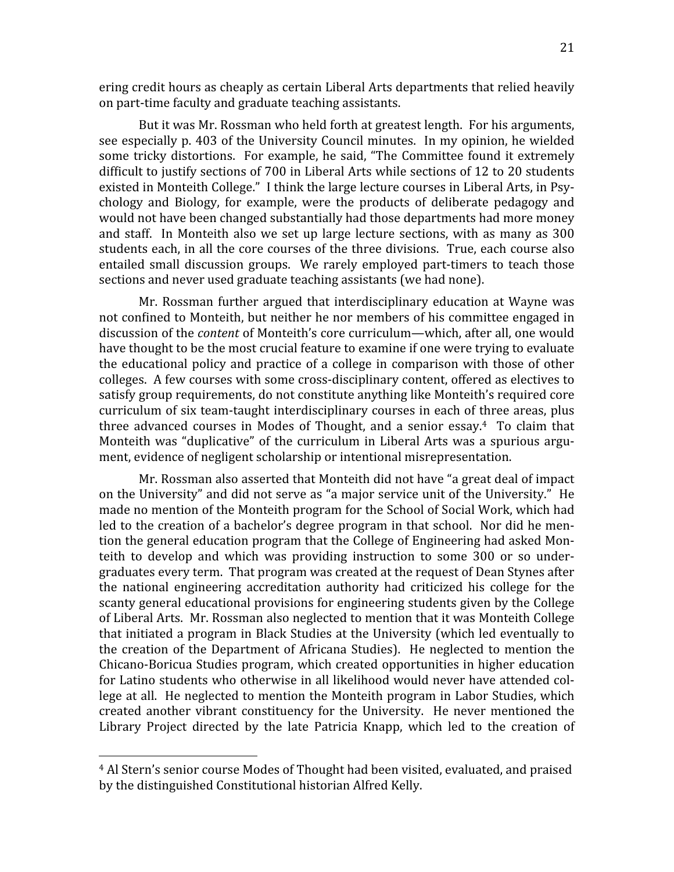ering
credit
hours
as
cheaply
as
certain
Liberal
Arts
departments
that
relied
heavily on
part‐time
faculty
and
graduate
teaching
assistants.

But it was Mr. Rossman who held forth at greatest length. For his arguments, see
especially
p.
403
of
 the
University
Council
minutes.

 In
my
opinion,
he
wielded some tricky distortions. For example, he said, "The Committee found it extremely difficult to justify sections of 700 in Liberal Arts while sections of 12 to 20 students existed in Monteith College." I think the large lecture courses in Liberal Arts, in Psychology
 and
 Biology,
 for
 example,
 were
 the
 products
 of
 deliberate
 pedagogy
 and would
not
have
been
changed
substantially
had
those
departments
had
more
money and staff. In Monteith also we set up large lecture sections, with as many as 300 students each, in all the core courses of the three divisions. True, each course also entailed small discussion groups. We rarely employed part-timers to teach those sections
and
never
used
graduate
teaching
assistants
(we
had
none).

Mr. Rossman further argued that interdisciplinary education at Wayne was not confined to Monteith, but neither he nor members of his committee engaged in discussion of the *content* of Monteith's core curriculum—which, after all, one would have thought to be the most crucial feature to examine if one were trying to evaluate the
educational
 policy
and
 practice
 of
a
 college
in
 comparison
with
 those
 of
 other colleges.

A
few
courses
with
some
cross‐disciplinary
content,
offered
as
electives
to satisfy
group
requirements,
do
not
constitute
anything
like
Monteith's
required
core curriculum of six team-taught interdisciplinary courses in each of three areas, plus three advanced courses in Modes of Thought, and a senior essay.<sup>4</sup> To claim that Monteith was "duplicative" of the curriculum in Liberal Arts was a spurious argument, evidence of negligent scholarship or intentional misrepresentation.

Mr. Rossman also asserted that Monteith did not have "a great deal of impact on the University" and did not serve as "a major service unit of the University." He made no mention of the Monteith program for the School of Social Work, which had led to the creation of a bachelor's degree program in that school. Nor did he mention the general education program that the College of Engineering had asked Monteith to develop and which was providing instruction to some 300 or so undergraduates
every
term.

That
program
was
created
at
the
request
of
Dean
Stynes
after the
 national
 engineering
 accreditation
 authority
 had
 criticized
 his
 college
 for
 the scanty
general
educational
provisions
for
engineering
students
given
by
the
College of
Liberal
Arts.

Mr.
Rossman
also
neglected
to
mention
that
it
was
Monteith
College that
initiated
a
program
in
Black
Studies
at
the
University
(which
led
eventually
to the creation of the Department of Africana Studies). He neglected to mention the Chicano‐Boricua
Studies
program,
which
created
opportunities
in
higher
education for Latino students who otherwise in all likelihood would never have attended college at all. He neglected to mention the Monteith program in Labor Studies, which created another vibrant constituency for the University. He never mentioned the Library Project directed by the late Patricia Knapp, which led to the creation of

<sup>4</sup>Al
Stern's
senior
course
Modes
of
Thought
had
been
visited,
evaluated,
and
praised by
the
distinguished
Constitutional
historian
Alfred
Kelly.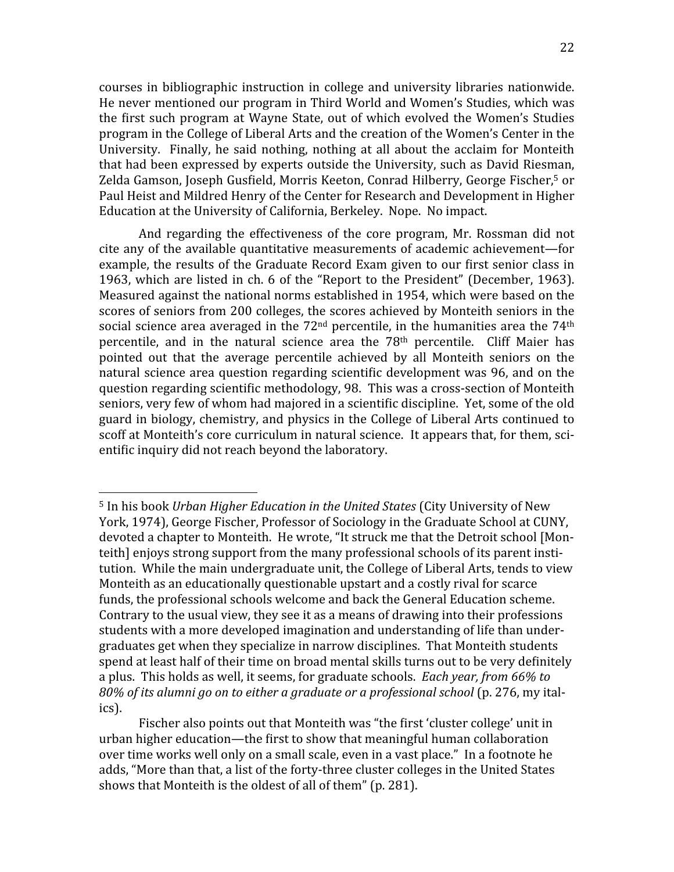courses
in
 bibliographic
instruction
in
 college
and
 university
libraries nationwide. He
never
mentioned
our
program
in
Third
World
and
Women's
Studies,
which
was the first such program at Wayne State, out of which evolved the Women's Studies program
in
the
College
of
Liberal
Arts
and
the
creation
of
the
Women's
Center
in
the University. Finally, he said nothing, nothing at all about the acclaim for Monteith that had been expressed by experts outside the University, such as David Riesman, Zelda Gamson, Joseph Gusfield, Morris Keeton, Conrad Hilberry, George Fischer,<sup>5</sup> or Paul Heist and Mildred Henry of the Center for Research and Development in Higher Education at the University of California, Berkeley. Nope. No impact.

And regarding the effectiveness of the core program, Mr. Rossman did not cite any of the available quantitative measurements of academic achievement—for example, the results of the Graduate Record Exam given to our first senior class in 1963, which are listed in ch. 6 of the "Report to the President" (December, 1963). Measured
against
the
national
norms
established
in
1954,
which
were
based
on
the scores
of
seniors
from
200
colleges,
the
scores
achieved
by
Monteith
seniors
in
the social science area averaged in the  $72<sup>nd</sup>$  percentile, in the humanities area the  $74<sup>th</sup>$ percentile, and in the natural science area the 78<sup>th</sup> percentile. Cliff Maier has pointed
 out
 that
 the average
 percentile
 achieved
 by
 all
 Monteith
 seniors
 on
 the natural science area question regarding scientific development was 96, and on the question regarding scientific methodology, 98. This was a cross-section of Monteith seniors, very few of whom had majored in a scientific discipline. Yet, some of the old guard
in
biology,
chemistry,
and
physics
in
the
College
of
Liberal
Arts
continued
to scoff at Monteith's core curriculum in natural science. It appears that, for them, scientific inquiry did not reach beyond the laboratory.

<sup>&</sup>lt;sup>5</sup> In his book Urban Higher Education in the United States (City University of New York, 1974), George Fischer, Professor of Sociology in the Graduate School at CUNY, devoted a chapter to Monteith. He wrote, "It struck me that the Detroit school [Monteith enjoys strong support from the many professional schools of its parent institution. While the main undergraduate unit, the College of Liberal Arts, tends to view Monteith as an educationally questionable upstart and a costly rival for scarce funds, the professional schools welcome and back the General Education scheme. Contrary to the usual view, they see it as a means of drawing into their professions students with a more developed imagination and understanding of life than undergraduates get when they specialize in narrow disciplines. That Monteith students spend at least half of their time on broad mental skills turns out to be very definitely a plus. This holds as well, it seems, for graduate schools. *Each year, from 66% to* 80% of its alumni go on to either a graduate or a professional school (p. 276, my italics).

Fischer also points out that Monteith was "the first 'cluster college' unit in urban higher education—the first to show that meaningful human collaboration over
time
works
well
only
on
a
small
scale,
even
in
a
vast
place."

In
a
footnote
he adds, "More than that, a list of the forty-three cluster colleges in the United States shows that Monteith is the oldest of all of them" (p. 281).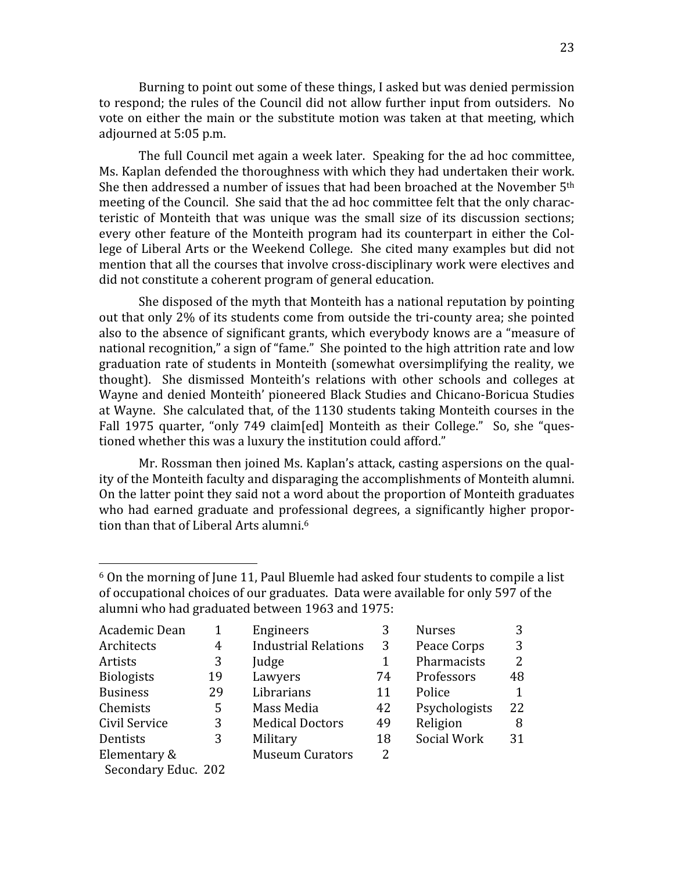Burning to point out some of these things, I asked but was denied permission to respond; the rules of the Council did not allow further input from outsiders. No vote on either the main or the substitute motion was taken at that meeting, which adjourned
at
5:05
p.m.

The
full
Council
met
again
a
week
later.

Speaking
for
the
ad
hoc
committee, Ms. Kaplan defended the thoroughness with which they had undertaken their work. She then addressed a number of issues that had been broached at the November 5<sup>th</sup> meeting of the Council. She said that the ad hoc committee felt that the only characteristic of Monteith that was unique was the small size of its discussion sections; every other feature of the Monteith program had its counterpart in either the College of Liberal Arts or the Weekend College. She cited many examples but did not mention that all the courses that involve cross-disciplinary work were electives and did
not
constitute
a
coherent
program
of
general
education.

She
disposed
of
the
myth
that
Monteith
has
a
national
reputation
by
pointing out
that
only
2%
of
its
students
come
from
outside
the
tri‐county
area;
she
pointed also to the absence of significant grants, which everybody knows are a "measure of national recognition," a sign of "fame." She pointed to the high attrition rate and low graduation rate of students in Monteith (somewhat oversimplifying the reality, we thought). She dismissed Monteith's relations with other schools and colleges at Wayne and denied Monteith' pioneered Black Studies and Chicano-Boricua Studies at Wayne. She calculated that, of the 1130 students taking Monteith courses in the Fall 1975 quarter, "only 749 claim[ed] Monteith as their College." So, she "questioned whether this was a luxury the institution could afford."

Mr. Rossman then joined Ms. Kaplan's attack, casting aspersions on the quality
of
the
Monteith
faculty
and
disparaging
the
accomplishments
of
Monteith
alumni. On the latter point they said not a word about the proportion of Monteith graduates who had earned graduate and professional degrees, a significantly higher proportion than that of Liberal Arts alumni.<sup>6</sup>

 $6$  On the morning of June 11, Paul Bluemle had asked four students to compile a list of occupational choices of our graduates. Data were available for only 597 of the alumni
who
had
graduated
between
1963
and
1975:

| Academic Dean       | 1  | Engineers                   | 3  | <b>Nurses</b> | 3            |
|---------------------|----|-----------------------------|----|---------------|--------------|
| Architects          | 4  | <b>Industrial Relations</b> | 3  | Peace Corps   | 3            |
| Artists             | 3  | Judge                       | 1  | Pharmacists   | 2            |
| <b>Biologists</b>   | 19 | Lawyers                     | 74 | Professors    | 48           |
| <b>Business</b>     | 29 | Librarians                  | 11 | Police        | $\mathbf{1}$ |
| Chemists            | 5  | Mass Media                  | 42 | Psychologists | 22           |
| Civil Service       | 3  | <b>Medical Doctors</b>      | 49 | Religion      | 8            |
| Dentists            | 3  | Military                    | 18 | Social Work   | 31           |
| Elementary &        |    | <b>Museum Curators</b>      | 2  |               |              |
| Secondary Educ. 202 |    |                             |    |               |              |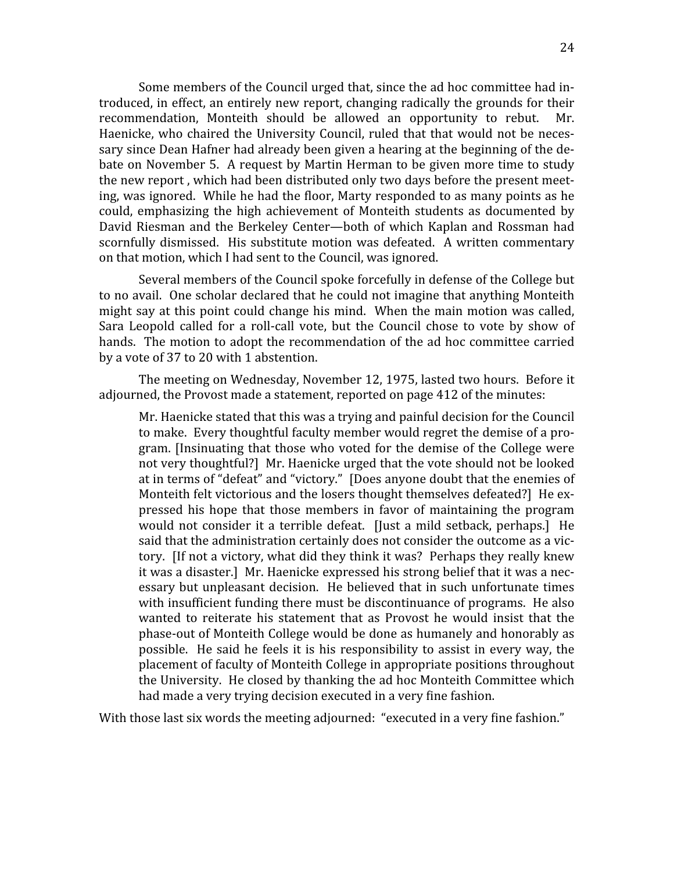Some members of the Council urged that, since the ad hoc committee had introduced,
in
effect,
an
entirely
new
report,
changing
radically
the
grounds
 for
their recommendation, Monteith should be allowed an opportunity to rebut. Mr. Haenicke, who chaired the University Council, ruled that that would not be necessary since Dean Hafner had already been given a hearing at the beginning of the debate on November 5. A request by Martin Herman to be given more time to study the
new
report
,
which
had
been
distributed
only
two
days
before
the
present
meet‐ ing,
was
ignored.

While
he
had
the
Rloor,
Marty
responded
to
as
many
points
as
he could,
 emphasizing
 the
 high
 achievement
 of
 Monteith
 students
 as
 documented
 by David Riesman and the Berkeley Center—both of which Kaplan and Rossman had scornfully dismissed. His substitute motion was defeated. A written commentary on
that
motion,
which
I
had
sent
to
the
Council,
was
ignored.

Several members of the Council spoke forcefully in defense of the College but to
no
avail.

One
scholar
declared
that
he
could
not
imagine
that
anything
Monteith might say at this point could change his mind. When the main motion was called. Sara Leopold called for a roll-call vote, but the Council chose to vote by show of hands. The motion to adopt the recommendation of the ad hoc committee carried by
a
vote
of
37
to
20
with
1
abstention.

The
meeting
on
Wednesday,
November
12,
1975,
lasted
two
hours.

Before
it adjourned, the Provost made a statement, reported on page 412 of the minutes:

Mr. Haenicke stated that this was a trying and painful decision for the Council to
make.

Every
thoughtful
faculty
member
would
regret
the
demise
of
a
pro‐ gram. [Insinuating that those who voted for the demise of the College were not
very
thoughtful?]

Mr.
Haenicke
urged
that
the
vote
should
not
be
looked at
in
terms
of
"defeat"
and
"victory."

[Does
anyone
doubt
that
the
enemies
of Monteith felt victorious and the losers thought themselves defeated? He expressed
 his
 hope
 that
 those
 members
 in
 favor
 of
 maintaining
 the
 program would not consider it a terrible defeat. [Just a mild setback, perhaps.] He said that the administration certainly does not consider the outcome as a victory. If not a victory, what did they think it was? Perhaps they really knew it was a disaster.] Mr. Haenicke expressed his strong belief that it was a necessary
but
unpleasant
decision.

He
believed
 that
in
such
unfortunate
 times with insufficient funding there must be discontinuance of programs. He also wanted to reiterate his statement that as Provost he would insist that the phase‐out
of
Monteith
College
would
be
done
as
humanely
and
honorably
as possible.

He
 said
 he
 feels
it
is
 his
 responsibility
 to
assist
in
every
way,
 the placement
of
faculty
of
Monteith
College
in
appropriate
positions
throughout the
University.

He
closed
by
thanking
the
ad
hoc
Monteith
Committee
which had made a very trying decision executed in a very fine fashion.

With those last six words the meeting adjourned: "executed in a very fine fashion."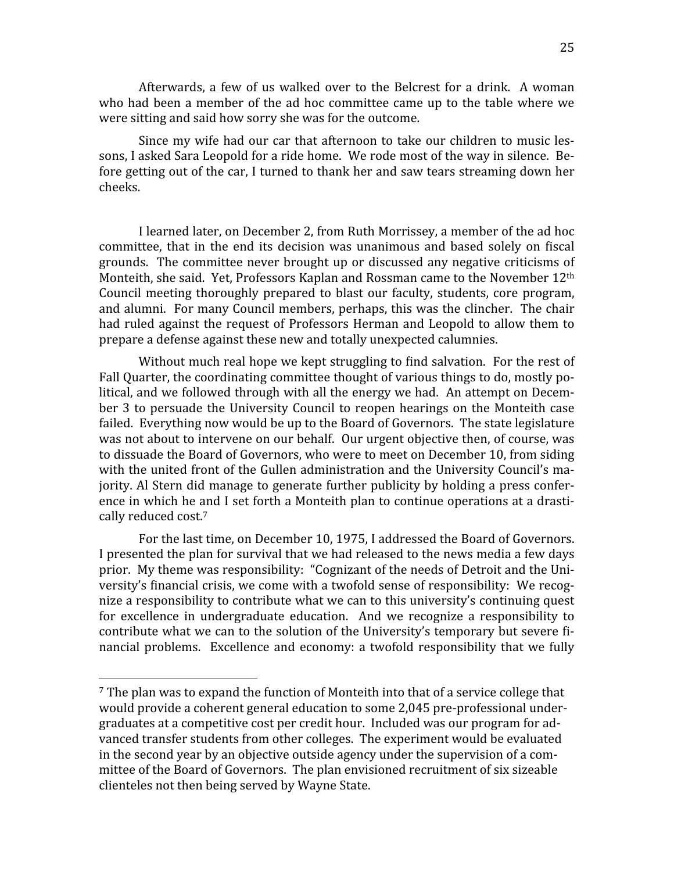25

Afterwards, a few of us walked over to the Belcrest for a drink. A woman who had been a member of the ad hoc committee came up to the table where we were
sitting
and
said
how
sorry
she
was
for
the
outcome.

Since my wife had our car that afternoon to take our children to music lessons, I asked Sara Leopold for a ride home. We rode most of the way in silence. Before getting out of the car. I turned to thank her and saw tears streaming down her cheeks.

I
learned
later,
on
December
2,
from
Ruth
Morrissey,
a
member
of
the
ad
hoc committee, that in the end its decision was unanimous and based solely on fiscal grounds.

The
committee
never
brought
up
or
discussed
any
negative
criticisms
of Monteith, she said. Yet, Professors Kaplan and Rossman came to the November 12<sup>th</sup> Council meeting thoroughly prepared to blast our faculty, students, core program, and
alumni.

For
many
Council
members,
perhaps,
this
was
the
clincher.

The
chair had ruled against the request of Professors Herman and Leopold to allow them to prepare
a
defense
against
these
new
and
totally
unexpected
calumnies.

Without much real hope we kept struggling to find salvation. For the rest of Fall Quarter, the coordinating committee thought of various things to do, mostly political, and we followed through with all the energy we had. An attempt on December 3 to persuade the University Council to reopen hearings on the Monteith case failed. Everything now would be up to the Board of Governors. The state legislature was not about to intervene on our behalf. Our urgent objective then, of course, was to dissuade the Board of Governors, who were to meet on December 10, from siding with the united front of the Gullen administration and the University Council's majority. Al Stern did manage to generate further publicity by holding a press conference in which he and I set forth a Monteith plan to continue operations at a drastically
reduced
cost.7

For the last time, on December 10, 1975, I addressed the Board of Governors. I presented the plan for survival that we had released to the news media a few days prior. My theme was responsibility: "Cognizant of the needs of Detroit and the University's financial crisis, we come with a twofold sense of responsibility: We recognize a responsibility to contribute what we can to this university's continuing quest for excellence in undergraduate education. And we recognize a responsibility to contribute what we can to the solution of the University's temporary but severe financial problems. Excellence and economy: a twofold responsibility that we fully

<sup>&</sup>lt;sup>7</sup> The plan was to expand the function of Monteith into that of a service college that would provide a coherent general education to some 2,045 pre-professional undergraduates
at
a
competitive
cost
per
credit
hour.

Included
was
our
program
for
ad‐ vanced
transfer
students
from
other
colleges.

The
experiment
would
be
evaluated in the second year by an objective outside agency under the supervision of a committee of the Board of Governors. The plan envisioned recruitment of six sizeable clienteles
not
then
being
served
by
Wayne
State.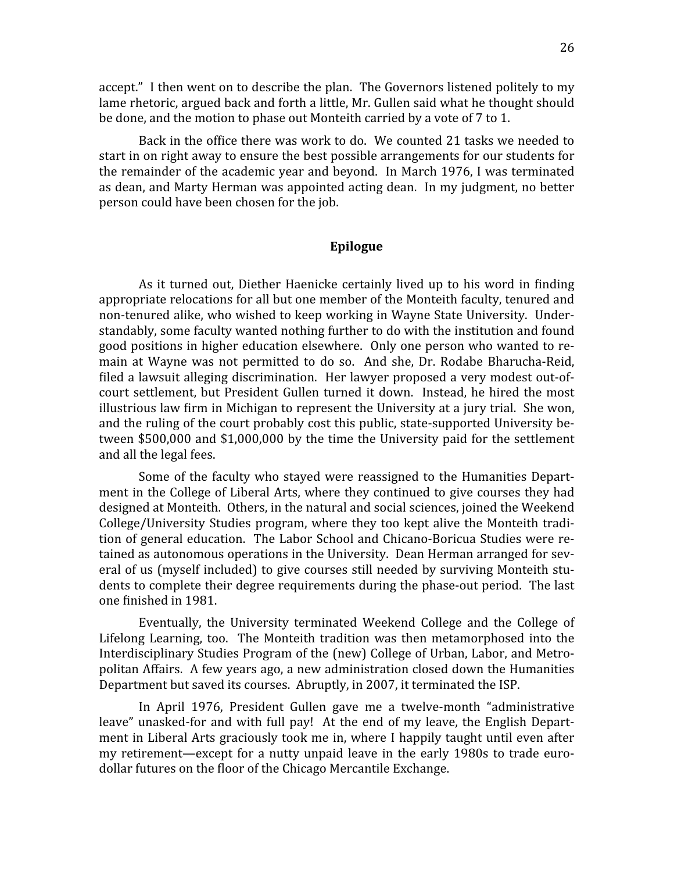accept." I then went on to describe the plan. The Governors listened politely to my lame rhetoric, argued back and forth a little, Mr. Gullen said what he thought should be done, and the motion to phase out Monteith carried by a vote of 7 to 1.

Back in the office there was work to do. We counted 21 tasks we needed to start
in
on
right
away
to
ensure
the
best
possible
arrangements
for
our
students
for the
remainder
of
the
academic
year
and
beyond.

In
March
1976,
I
was
terminated as
dean,
and
Marty
Herman
was
appointed
acting
dean.

In
my
judgment,
no
better person
could
have
been
chosen
for
the
job.

## **Epilogue**

As it turned out, Diether Haenicke certainly lived up to his word in finding appropriate relocations for all but one member of the Monteith faculty, tenured and non-tenured alike, who wished to keep working in Wayne State University. Understandably, some faculty wanted nothing further to do with the institution and found good
positions
in
higher
education
elsewhere.

Only
one
person
who
wanted
to
re‐ main at Wayne was not permitted to do so. And she, Dr. Rodabe Bharucha-Reid, filed a lawsuit alleging discrimination. Her lawyer proposed a very modest out-ofcourt settlement, but President Gullen turned it down. Instead, he hired the most illustrious law firm in Michigan to represent the University at a jury trial. She won, and
the
ruling
of
the
court
probably
cost
this
public,
state‐supported
University
be‐ tween \$500,000 and \$1,000,000 by the time the University paid for the settlement and
all
the
legal
fees.

Some of the faculty who stayed were reassigned to the Humanities Department in the College of Liberal Arts, where they continued to give courses they had designed at Monteith. Others, in the natural and social sciences, joined the Weekend College/University Studies program, where they too kept alive the Monteith tradition of general education. The Labor School and Chicano-Boricua Studies were retained as autonomous operations in the University. Dean Herman arranged for several of us (myself included) to give courses still needed by surviving Monteith students to complete their degree requirements during the phase-out period. The last one
Rinished
in
1981.

Eventually, the University terminated Weekend College and the College of Lifelong Learning, too. The Monteith tradition was then metamorphosed into the Interdisciplinary Studies Program of the (new) College of Urban, Labor, and Metropolitan
Affairs.

A
few
years
ago,
a
new
administration
closed
down
the
Humanities Department but saved its courses. Abruptly, in 2007, it terminated the ISP.

In
 April
 1976,
 President
 Gullen
 gave
 me
 a
 twelve‐month
 "administrative leave" unasked-for and with full pay! At the end of my leave, the English Department in Liberal Arts graciously took me in, where I happily taught until even after my retirement—except for a nutty unpaid leave in the early 1980s to trade eurodollar futures on the floor of the Chicago Mercantile Exchange.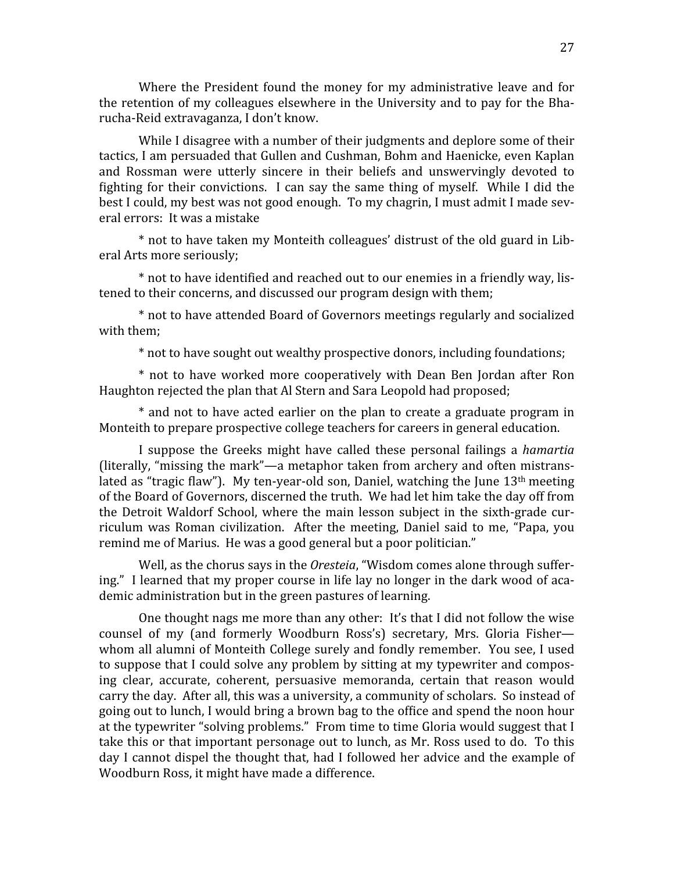Where the President found the money for my administrative leave and for the retention of my colleagues elsewhere in the University and to pay for the Bharucha‐Reid
extravaganza,
I
don't
know.

While I disagree with a number of their judgments and deplore some of their tactics,
I
am
persuaded
that
Gullen
and
Cushman,
Bohm
and
Haenicke,
even
Kaplan and Rossman were utterly sincere in their beliefs and unswervingly devoted to fighting for their convictions. I can say the same thing of myself. While I did the best I could, my best was not good enough. To my chagrin, I must admit I made several
errors:

It
was
a
mistake

\* not to have taken my Monteith colleagues' distrust of the old guard in Liberal
Arts
more
seriously;

\* not to have identified and reached out to our enemies in a friendly way, listened
to
their
concerns,
and
discussed
our
program
design
with
them;

\*
not
to
have
attended
Board
of
Governors
meetings
regularly
and
socialized with
them;

\*
not
to
have
sought
out
wealthy
prospective
donors,
including
foundations;

\*
 not
 to
 have
 worked
 more
 cooperatively
 with
 Dean
 Ben
 Jordan
 after
 Ron Haughton rejected the plan that Al Stern and Sara Leopold had proposed;

\* and not to have acted earlier on the plan to create a graduate program in Monteith
to
prepare
prospective
college
teachers
for
careers
in
general
education.

I
 suppose
 the
 Greeks
 might
 have
 called
 these
 personal
 failings
 a *hamartia* (literally,
"missing
the
mark"—a
metaphor
taken
 from
archery
and
often
mistrans‐ lated as "tragic flaw"). My ten-year-old son, Daniel, watching the June  $13<sup>th</sup>$  meeting of
the
Board
of
Governors,
discerned
the
truth.

We
had
let
him
take
the
day
off
from the Detroit Waldorf School, where the main lesson subject in the sixth-grade curriculum was Roman civilization. After the meeting, Daniel said to me, "Papa, you remind me of Marius. He was a good general but a poor politician."

Well, as the chorus says in the *Oresteia*, "Wisdom comes alone through suffering." I learned that my proper course in life lay no longer in the dark wood of academic
administration
but
in
the
green
pastures
of
learning.

One thought nags me more than any other: It's that I did not follow the wise counsel of my (and formerly Woodburn Ross's) secretary, Mrs. Gloria Fisherwhom all alumni of Monteith College surely and fondly remember. You see, I used to suppose that I could solve any problem by sitting at my typewriter and composing
 clear,
 accurate,
 coherent,
 persuasive
 memoranda,
 certain
 that
 reason
 would carry the day. After all, this was a university, a community of scholars. So instead of going out to lunch, I would bring a brown bag to the office and spend the noon hour at the typewriter "solving problems." From time to time Gloria would suggest that I take this or that important personage out to lunch, as Mr. Ross used to do. To this day I cannot dispel the thought that, had I followed her advice and the example of Woodburn
Ross,
it
might
have
made
a
difference.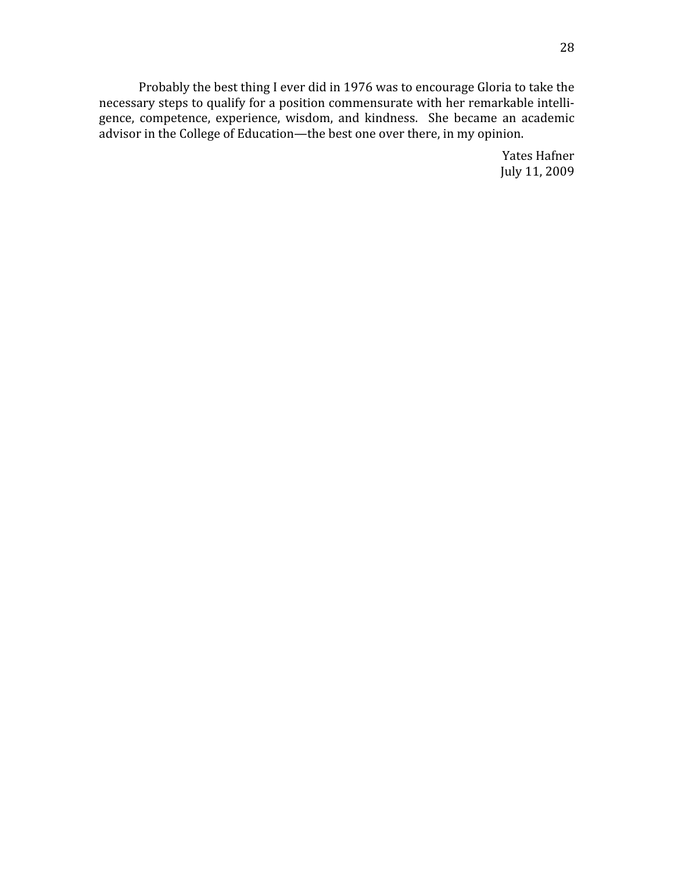Probably the best thing I ever did in 1976 was to encourage Gloria to take the necessary steps to qualify for a position commensurate with her remarkable intelligence, competence, experience, wisdom, and kindness. She became an academic advisor in the College of Education—the best one over there, in my opinion.

> Yates
> Hafner July
> 11,
> 2009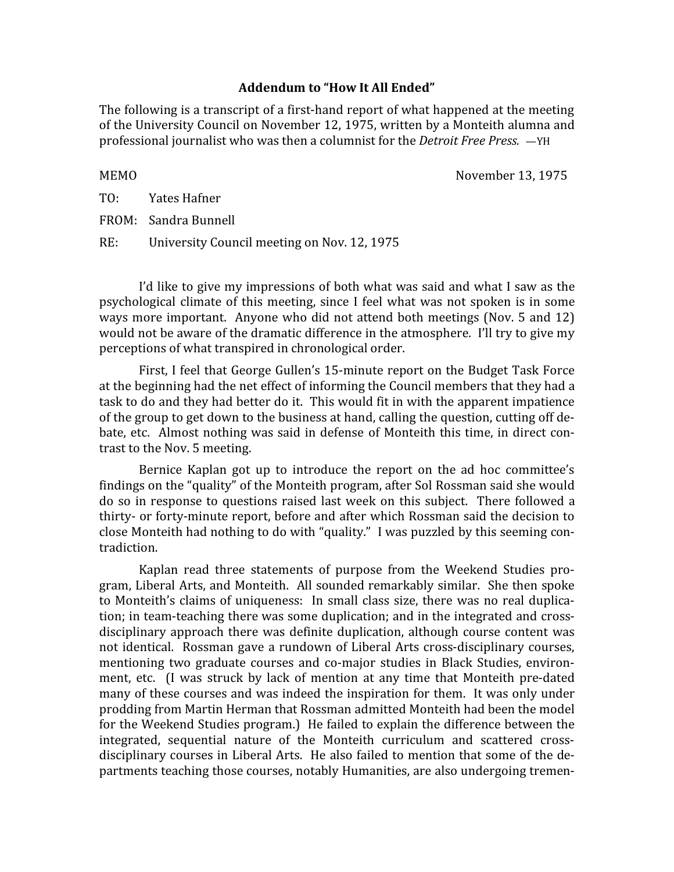# Addendum to "How It All Ended"

The following is a transcript of a first-hand report of what happened at the meeting of
the
University
Council
on
November
12,
1975,
written
by
a
Monteith
alumna
and professional
journalist
who
was
then
a
columnist
for
the *Detroit
Free
Press.*—YH

MEMO November 13, 1975

TO: Yates
Hafner

FROM: Sandra
Bunnell

RE: University Council meeting on Nov. 12, 1975

I'd like to give my impressions of both what was said and what I saw as the psychological
 climate
 of
 this
meeting,
 since
 I
 feel
what
was
 not
 spoken
is
in
 some ways more important. Anyone who did not attend both meetings (Nov. 5 and 12) would not be aware of the dramatic difference in the atmosphere. I'll try to give my perceptions
of
what
transpired
in
chronological
order.

First, I feel that George Gullen's 15-minute report on the Budget Task Force at the beginning had the net effect of informing the Council members that they had a task to do and they had better do it. This would fit in with the apparent impatience of the group to get down to the business at hand, calling the question, cutting off debate, etc. Almost nothing was said in defense of Monteith this time, in direct contrast
to
the
Nov.
5
meeting.

Bernice Kaplan got up to introduce the report on the ad hoc committee's findings on the "quality" of the Monteith program, after Sol Rossman said she would do so in response to questions raised last week on this subject. There followed a thirty- or forty-minute report, before and after which Rossman said the decision to close
Monteith
had
nothing
to
do
with
"quality."

I
was
puzzled
by
this
seeming
con‐ tradiction.

Kaplan
 read
 three
 statements
 of
 purpose
 from
 the
 Weekend
 Studies
 pro‐ gram,
Liberal
Arts,
and
Monteith.

All
sounded
remarkably
similar.

She
then
spoke to Monteith's claims of uniqueness: In small class size, there was no real duplication; in team-teaching there was some duplication; and in the integrated and crossdisciplinary approach there was definite duplication, although course content was not
identical.

Rossman
gave
a
rundown
of
Liberal
Arts
cross‐disciplinary
courses, mentioning two graduate courses and co-major studies in Black Studies, environment, etc. (I was struck by lack of mention at any time that Monteith pre-dated many of these courses and was indeed the inspiration for them. It was only under prodding
from
Martin
Herman
that
Rossman
admitted
Monteith
had
been
the
model for
the
Weekend
Studies
program.)

He
failed
to
explain
the
difference
between
the integrated, sequential nature of the Monteith curriculum and scattered crossdisciplinary courses in Liberal Arts. He also failed to mention that some of the departments teaching those courses, notably Humanities, are also undergoing tremen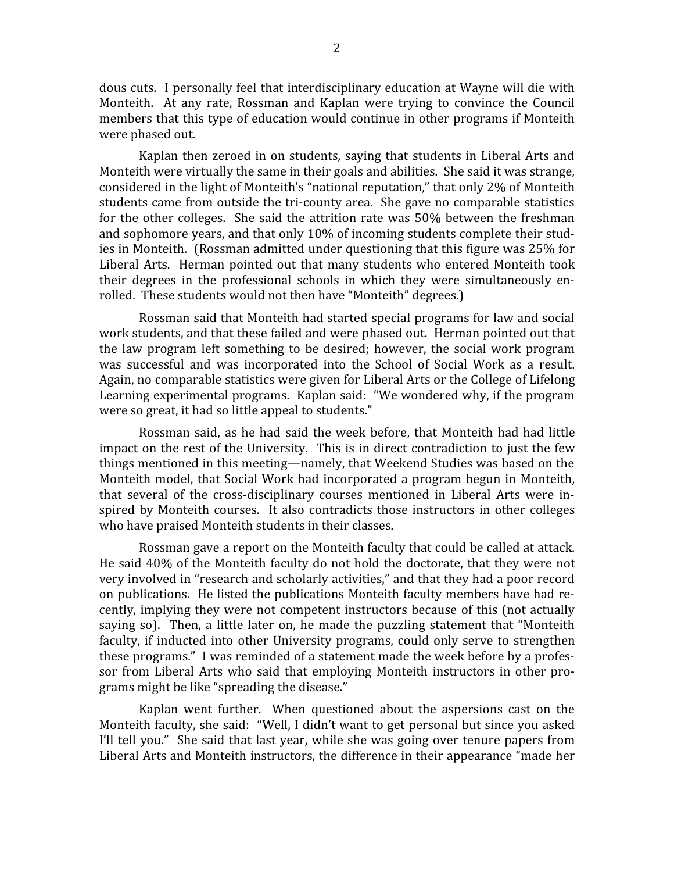dous
cuts.

I
personally
 feel
that
interdisciplinary
education
at
Wayne
will
die
with Monteith. At any rate, Rossman and Kaplan were trying to convince the Council members that this type of education would continue in other programs if Monteith were
phased
out.

Kaplan then zeroed in on students, saying that students in Liberal Arts and Monteith were virtually the same in their goals and abilities. She said it was strange, considered
in
the
light
of
Monteith's
"national
reputation,"
that
only
2%
of
Monteith students came from outside the tri-county area. She gave no comparable statistics for the other colleges. She said the attrition rate was 50% between the freshman and sophomore years, and that only 10% of incoming students complete their studies in Monteith. (Rossman admitted under questioning that this figure was 25% for Liberal Arts. Herman pointed out that many students who entered Monteith took their degrees in the professional schools in which they were simultaneously enrolled. These students would not then have "Monteith" degrees.)

Rossman said that Monteith had started special programs for law and social work students, and that these failed and were phased out. Herman pointed out that the
 law
 program
 left
 something
 to
 be
 desired;
 however,
 the
 social
 work
 program was successful and was incorporated into the School of Social Work as a result. Again,
no
comparable
statistics
were
given
for
Liberal
Arts
or
the
College
of
Lifelong Learning experimental programs. Kaplan said: "We wondered why, if the program were so great, it had so little appeal to students."

Rossman said, as he had said the week before, that Monteith had had little impact on the rest of the University. This is in direct contradiction to just the few things mentioned in this meeting—namely, that Weekend Studies was based on the Monteith model, that Social Work had incorporated a program begun in Monteith, that several of the cross-disciplinary courses mentioned in Liberal Arts were inspired by Monteith courses. It also contradicts those instructors in other colleges who have praised Monteith students in their classes.

Rossman gave a report on the Monteith faculty that could be called at attack. He said 40% of the Monteith faculty do not hold the doctorate, that they were not very involved in "research and scholarly activities," and that they had a poor record on publications. He listed the publications Monteith faculty members have had recently,
implying
 they
were
not
competent
instructors
because
of
 this
 (not
actually saying so). Then, a little later on, he made the puzzling statement that "Monteith faculty, if inducted into other University programs, could only serve to strengthen these programs." I was reminded of a statement made the week before by a professor from Liberal Arts who said that employing Monteith instructors in other programs
might
be
like
"spreading
the
disease."

Kaplan went further. When questioned about the aspersions cast on the Monteith faculty, she said: "Well, I didn't want to get personal but since you asked I'll tell vou." She said that last vear, while she was going over tenure papers from Liberal
Arts
and
Monteith
instructors,
the
difference
in
their
appearance
"made
her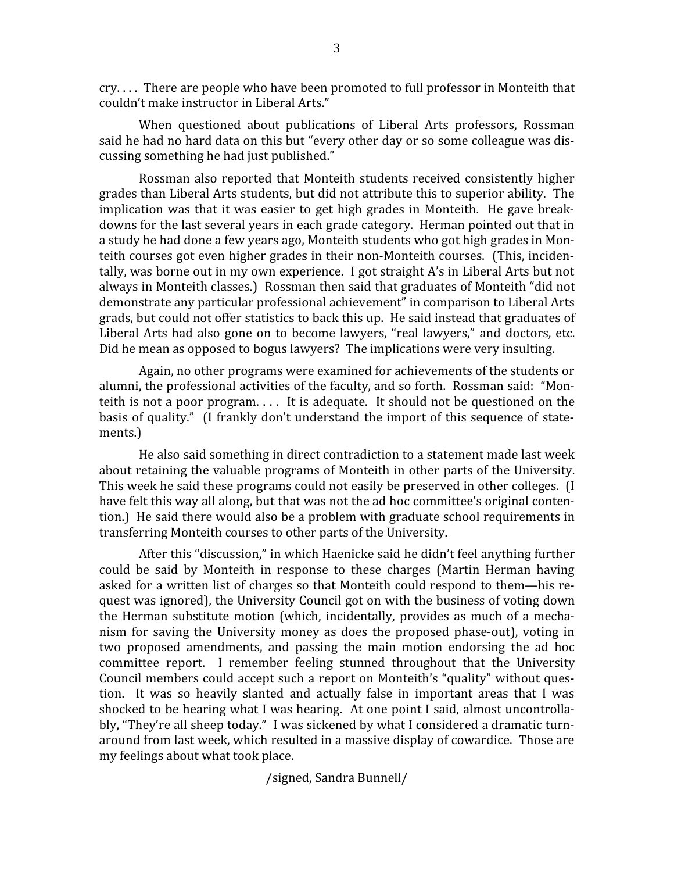cry.
.
.
.

There
are
people
who
have
been
promoted
to
full
professor
in
Monteith
that couldn't
make
instructor
in
Liberal
Arts."

When questioned about publications of Liberal Arts professors, Rossman said he had no hard data on this but "every other day or so some colleague was discussing
something
he
had
just
published."

Rossman
also
 reported
 that
Monteith
 students
 received
 consistently
 higher grades
than
Liberal
Arts
students,
but
did
not
attribute
this
to
superior
ability.

The implication was that it was easier to get high grades in Monteith. He gave breakdowns for the last several years in each grade category. Herman pointed out that in a study he had done a few years ago, Monteith students who got high grades in Monteith courses got even higher grades in their non-Monteith courses. (This, incidentally, was borne out in my own experience. I got straight A's in Liberal Arts but not always
in
Monteith
classes.)

Rossman
then
said
that
graduates
of
Monteith
"did
not demonstrate
any
particular
professional
achievement"
in
comparison
to
Liberal
Arts grads,
but
could
not
offer
statistics
to
back
this
up.

He
said
instead
that
graduates
of Liberal Arts had also gone on to become lawyers, "real lawyers," and doctors, etc. Did he mean as opposed to bogus lawyers? The implications were very insulting.

Again, no other programs were examined for achievements of the students or alumni, the professional activities of the faculty, and so forth. Rossman said: "Monteith is not a poor program.... It is adequate. It should not be questioned on the basis of quality." (I frankly don't understand the import of this sequence of statements.)

He
also
said
something
in
direct
contradiction
to
a
statement
made
last
week about retaining the valuable programs of Monteith in other parts of the University. This week he said these programs could not easily be preserved in other colleges. (I have felt this way all along, but that was not the ad hoc committee's original contention.)

He
said
there
would
also
be
a
problem
with
graduate
school
requirements
in transferring
Monteith
courses
to
other
parts
of
the
University.

After
this
"discussion,"
in
which
Haenicke
said
he
didn't
feel
anything
further could
 be
 said
 by
 Monteith
 in
 response
 to
 these
 charges
 (Martin
 Herman
 having asked
 for
a
written
list
of
charges
so
that
Monteith
could
respond
to
them—his
re‐ quest
was
ignored),
the
University
Council
got
on
with
the
business
of
voting
down the
 Herman
 substitute
 motion
 (which,
 incidentally,
 provides
 as
 much
 of
 a
 mecha‐ nism
 for
 saving
 the
 University
 money
 as
 does
 the
 proposed
 phase‐out),
 voting
 in two
 proposed
 amendments,
 and
 passing
 the
 main
 motion
 endorsing
 the
 ad
 hoc committee report. I remember feeling stunned throughout that the University Council members could accept such a report on Monteith's "quality" without question. It was so heavily slanted and actually false in important areas that I was shocked to be hearing what I was hearing. At one point I said, almost uncontrollably, "They're all sheep today." I was sickened by what I considered a dramatic turnaround
from
last
week,
which
resulted
in
a
massive
display
of
cowardice.

Those
are my
feelings
about
what
took
place.

/signed,
Sandra
Bunnell/